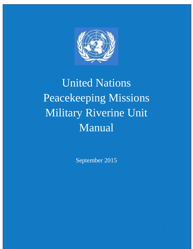

# United Nations Peacekeeping Missions Military Riverine Unit Manual

September 2015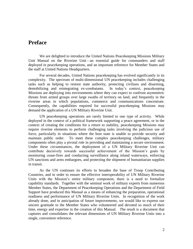# **Preface**

We are delighted to introduce the United Nations Peacekeeping Missions Military Unit Manual on the Riverine Unit—an essential guide for commanders and staff deployed in peacekeeping operations, and an important reference for Member States and the staff at United Nations Headquarters.

For several decades, United Nations peacekeeping has evolved significantly in its complexity. The spectrum of multi-dimensional UN peacekeeping includes challenging tasks such as helping to restore state authority, protecting civilians and disarming, demobilizing and reintegrating ex-combatants. In today's context, peacekeeping Missions are deploying into environments where they can expect to confront asymmetric threats from armed groups over large swaths of territory on land, and frequently in the riverine areas in which populations, commerce and communications concentrate. Consequently, the capabilities required for successful peacekeeping Missions may demand the application of a UN Military Riverine Unit.

UN peacekeeping operations are rarely limited to one type of activity. While deployed in the context of a political framework supporting a peace agreement, or in the context of creating the conditions for a return to stability, peacekeeping Missions may require riverine elements to perform challenging tasks involving the judicious use of force, particularly in situations where the host state is unable to provide security and maintain public order. To meet these complex peacekeeping challenges, military components often play a pivotal role in providing and maintaining a secure environment. Under these circumstances, the deployment of a UN Military Riverine Unit can contribute decisively towards successful achievement of the Mission's goals by monitoring cease-fires and conducting surveillance along inland waterways, enforcing UN sanctions and arms embargoes, and protecting the shipment of humanitarian supplies in transit.

As the UN continues its efforts to broaden the base of Troop Contributing Countries, and in order to ensure the effective interoperability of UN Military Riverine Units with the Mission's entire military component, there is a need to formalize capability standards. Together with the seminal work of military experts from numerous Member States, the Department of Peacekeeping Operations and the Department of Field Support have produced this Manual as a means of enhancing the preparation, operational readiness and performance of UN Military Riverine Units. In recognition of the work already done, and in anticipation of future improvements, we would like to express our sincere gratitude to the Member States who volunteered and devoted so much of their time, energy and expertise in the creation of this Manual. The result is a document that captures and consolidates the relevant dimensions of UN Military Riverine Units into a single, convenient reference.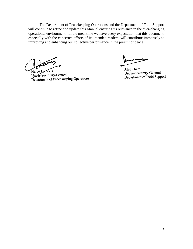The Department of Peacekeeping Operations and the Department of Field Support will continue to refine and update this Manual ensuring its relevance in the ever-changing operational environment. In the meantime we have every expectation that this document, especially with the concerted efforts of its intended readers, will contribute immensely to improving and enhancing our collective performance in the pursuit of peace.

Hervé Ladsous

Upder-Secretary-General Department of Peacekeeping Operations

Atul Khare Under-Secretary-General Department of Field Support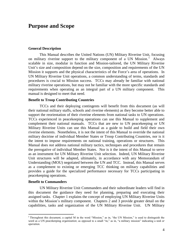# **Purpose and Scope**

#### **General Description**

This Manual describes the United Nations (UN) Military Riverine Unit, focusing on military riverine support to the military component of a UN Mission.<sup>1</sup> Always scalable in size, modular in function and Mission-tailored, the UN Military Riverine Unit's size and composition depend on the size, composition and requirements of the UN Mission it supports and the physical characteristics of the Force's area of operations. In UN Military Riverine Unit operations, a common understanding of terms, standards and procedures is crucial to Mission success. TCCs may already be familiar with national military riverine operations, but may not be familiar with the more specific standards and requirements when operating as an integral part of a UN military component. This manual is designed to meet that need.

#### **Benefit to Troop Contributing Countries**

TCCs and their deploying contingents will benefit from this document (as will their national military staffs, schools and riverine elements) as they become better able to support the reorientation of their riverine elements from national tasks to UN operations. TCCs experienced in peacekeeping operations can use this Manual to supplement and complement their national manuals. TCCs that are new to UN peacekeeping or UN Military Riverine Units can use this Manual as a guide to build and field their own riverine elements. Nonetheless, it is not the intent of this Manual to override the national military doctrine of individual Member States or Troop Contributing Countries, nor is it the intent to impose requirements on national training, operations or structures. This Manual does *not* address national military tactics, techniques and procedures that remain the prerogative of individual Member States. Nor is it the intent of this Manual to serve as an instrument for UN Military Riverine Unit selection. Indeed, UN Military Riverine Unit structures will be adapted, ultimately, in accordance with any Memorandum of Understanding (MOU) negotiated between the UN and TCC. Instead, this Manual serves as a complement to existing or emerging TCC thinking on military capabilities and provides a guide for the specialized performance necessary for TCCs participating in peacekeeping operations.

#### **Benefit to Commanders**

l

UN Military Riverine Unit Commanders and their subordinate leaders will find in this document the guidance they need for planning, preparing and executing their assigned tasks. Chapter 1 explains the concept of employing UN Military Riverine Units within the Mission's military component. Chapters 2 and 3 provide greater detail on the capabilities, tasks and organization of the UN Military Riverine Unit. UN Military

<sup>&</sup>lt;sup>1</sup> Throughout this document, a capital M in the word "Mission," as in, "the UN Mission," is used to distinguish the word as a UN peacekeeping *organization*; as opposed to a small "m," as in, "a military mission" indicating a *task or operation*.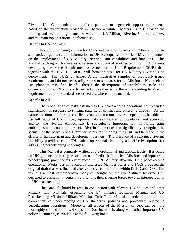Riverine Unit Commanders and staff can plan and manage their support requirements based on the information provided in Chapter 4, while Chapters 5 and 6 provide the training and evaluation guidance by which the UN Military Riverine Unit can achieve and maintain top operational performance.

#### **Benefit to UN Planners**

In addition to being a guide for TCCs and their contingents, this Manual provides standardized guidance and information to UN Headquarters and field Mission planners on the employment of UN Military Riverine Unit capabilities and functions. This Manual is designed for use as a reference and initial starting point for UN planners developing the Force Requirement or Statement of Unit Requirement (SUR) that, together with the UN-TCC MOU, will form the basis for UN Military Riverine Unit deployment. The SURs at Annex A are illustrative samples of previously-issued requirements, and do not necessarily represent standards for all Missions. Nonetheless, UN planners may find helpful therein the descriptions of capabilities, tasks and organization of a UN Military Riverine Unit as they tailor the unit according to Mission requirements and the standards described elsewhere in this manual.

#### **Benefit to All**

The broad range of tasks assigned to UN peacekeeping operations has expanded significantly in response to shifting patterns of conflict and emerging threats. As the nature and domain of armed conflict expands, so too must riverine operations be added to the full range of UN military options. As key centres of population and economic activity, the riverine environment is strategically important for monitoring arms embargoes and protecting borders. Riverine operations can significantly strengthen the security of the peace process, provide safety for shipping in transit, and help secure the efforts of humanitarian and development partners. The presence of a sustained riverine capability provides senior UN leaders operational flexibility and effective options for addressing peacekeeping challenges.

This Manual is primarily written at the operational and tactical levels. It is based on UN guidance reflecting lessons learned, feedback from field Missions and input from peacekeeping practitioners experienced in UN Military Riverine Unit peacekeeping operations. Workshops conducted by interested Member States and TCCs produced the original draft that was finalized after extensive coordination within DPKO and DFS. The result is a most comprehensive body of thought on the UN Military Riverine Unit designed to assist contingents in re-orienting their riverine forces towards interoperability in UN peacekeeping.

This Manual should be read in conjunction with relevant UN policies and other Military Unit Manuals, especially the UN Infantry Battalion Manual and UN Peacekeeping Missions Military Maritime Task Force Manual, in order to gain a more comprehensive understanding of UN standards, policies and procedures related to peacekeeping operations. Moreover, all aspects of the Mission concept can be more thoroughly studied in the UN Capstone Doctrine which, along with other important UN policy documents, is available at the following links: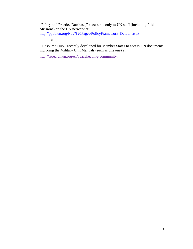"Policy and Practice Database," accessible only to UN staff (including field Missions) on the UN network at: [http://ppdb.un.org/Nav%20Pages/PolicyFramework\\_Default.aspx](http://ppdb.un.org/Nav%20Pages/PolicyFramework_Default.aspx)

and,

"Resource Hub," recently developed for Member States to access UN documents, including the Military Unit Manuals (such as this one) at:

[http://research.un.org/en/peacekeeping-community.](http://research.un.org/en/peacekeeping-community)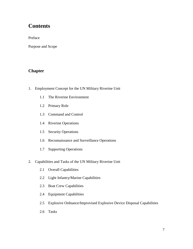# **Contents**

Preface

Purpose and Scope

# **Chapter**

- 1. Employment Concept for the UN Military Riverine Unit
	- 1.1 The Riverine Environment
	- 1.2 Primary Role
	- 1.3 Command and Control
	- 1.4 Riverine Operations
	- 1.5 Security Operations
	- 1.6 Reconnaissance and Surveillance Operations
	- 1.7 Supporting Operations
- 2. Capabilities and Tasks of the UN Military Riverine Unit
	- 2.1 Overall Capabilities
	- 2.2 Light Infantry/Marine Capabilities
	- 2.3 Boat Crew Capabilities
	- 2.4 Equipment Capabilities
	- 2.5 Explosive Ordnance/Improvised Explosive Device Disposal Capabilities
	- 2.6 Tasks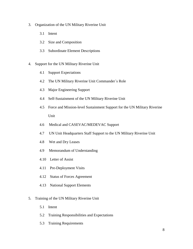- 3. Organization of the UN Military Riverine Unit
	- 3.1 Intent
	- 3.2 Size and Composition
	- 3.3 Subordinate Element Descriptions
- 4. Support for the UN Military Riverine Unit
	- 4.1 Support Expectations
	- 4.2 The UN Military Riverine Unit Commander´s Role
	- 4.3 Major Engineering Support
	- 4.4 Self-Sustainment of the UN Military Riverine Unit
	- 4.5Force and Mission-level Sustainment Support for the UN Military Riverine Unit
	- 4.6Medical and CASEVAC/MEDEVAC Support
	- 4.7UN Unit Headquarters Staff Support to the UN Military Riverine Unit
	- 4.8 Wet and Dry Leases
	- 4.9 Memorandum of Understanding
	- 4.10 Letter of Assist
	- 4.11 Pre-Deployment Visits
	- 4.12 Status of Forces Agreement
	- 4.13 National Support Elements
- 5. Training of the UN Military Riverine Unit
	- 5.1Intent
	- 5.2 Training Responsibilities and Expectations
	- 5.3Training Requirements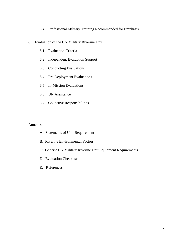#### 5.4 Professional Military Training Recommended for Emphasis

- 6. Evaluation of the UN Military Riverine Unit
	- 6.1 Evaluation Criteria
	- 6.2 Independent Evaluation Support
	- 6.3 Conducting Evaluations
	- 6.4 Pre-Deployment Evaluations
	- 6.5In-Mission Evaluations
	- 6.6 UN Assistance
	- 6.7 Collective Responsibilities

#### Annexes:

- A: Statements of Unit Requirement
- B: Riverine Environmental Factors
- C: Generic UN Military Riverine Unit Equipment Requirements
- D: Evaluation Checklists
- E: References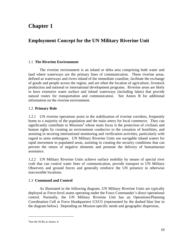# **Chapter 1**

# **Employment Concept for the UN Military Riverine Unit**

# 1.1 **The Riverine Environment**

The riverine environment is an inland or delta area comprising both water and land where waterways are the primary lines of communication. These riverine areas, defined as waterways and rivers inland of the immediate coastline, facilitate the exchange of goods and people across the region, and are often the location of agriculture, livestock production and national or international development programs. Riverine areas are likely to have extensive water surface and inland waterways (including lakes) that provide natural routes for transportation and communication. See Annex B for additional information on the riverine environment.

# 1.2 **Primary Role**

1.2.1 UN riverine operations assist in the stabilization of riverine corridors, frequently home to a majority of the population and the main artery for local commerce. They can significantly contribute to Missions<sup>2</sup> whose main focus is the protection of civilians and human rights by creating an environment conducive to the cessation of hostilities, and assisting in securing international monitoring and verification activities, particularly with regard to arms embargoes. UN Military Riverine Units use navigable inland waters for rapid movement to populated areas, assisting in creating the security conditions that can prevent the return of negative elements and promote the delivery of humanitarian assistance.

1.2.2 UN Military Riverine Units achieve surface mobility by means of special river craft that can control water lines of communication, provide transport to UN Military Observers and ground forces and generally reinforce the UN presence in otherwise inaccessible locations.

# 1.3 **Command and Control**

As illustrated in the following diagram, UN Military Riverine Units are typically deployed as Force-level assets operating under the Force Commander's direct operational control. Normally, the UN Military Riverine Unit has an Operations/Planning Coordination Cell at Force Headquarters U3/U5 (represented by the dashed blue line in the diagram below). Depending on Mission-specific needs and geographic dispersion,

 $\overline{a}$ 

<sup>&</sup>lt;sup>2</sup>See the SURs at Annex A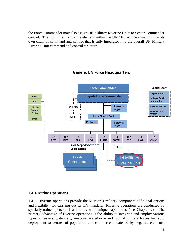the Force Commander may also assign UN Military Riverine Units to Sector Commander control. The light infantry/marine element within the UN Military Riverine Unit has its own chain of command and control that is fully integrated into the overall UN Military Riverine Unit command and control structure.



# **Generic UN Force Headquarters**

# 1.4 **Riverine Operations**

1.4.1 Riverine operations provide the Mission's military component additional options and flexibility for carrying out its UN mandate. Riverine operations are conducted by specially-trained personnel and units with unique capabilities (see Chapter 2). The primary advantage of riverine operations is the ability to integrate and employ various types of vessels, watercraft, weapons, waterborne and ground military forces for rapid deployment to centres of population and commerce threatened by negative elements.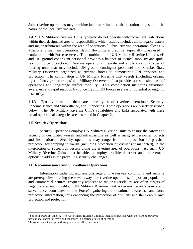Joint riverine operations may combine land, maritime and air operations adjusted to the nature of the local riverine area.

1.4.2 UN Military Riverine Units typically do not operate with movement restrictions within their designated area of responsibility, which usually includes all navigable waters and major tributaries within the area of operations.<sup>3</sup> Thus, riverine operations allow UN Missions to maintain operational depth, flexibility and agility, especially when used in conjunction with Force reserves. The combination of UN Military Riverine Unit vessels and UN ground contingent personnel provides a balance of tactical mobility and quick reaction force protection. Riverine operations integrate and employ various types of floating units that may include UN ground contingent personnel and Member State Military Observers organized as riverine forces to demonstrate UN presence and protection. The combination of UN Military Riverine Unit vessels (including organic light infantry ground troops<sup>4</sup> and Military Observers afloat provides a responsive base of operations and long-range surface mobility. This combination maintains situational awareness and rapid reaction by concentrating UN Forces in areas of potential or ongoing insecurity.

1.4.3 Broadly speaking, there are three types of riverine operations: Security, Reconnaissance and Surveillance, and Supporting. These operations are briefly described below. The UN Military Riverine Unit's capabilities and tasks associated with these broad operational categories are described in Chapter 2.

#### 1.5 **Security Operations**

Security Operations employ UN Military Riverine Units to ensure the safety and security of designated vessels and infrastructure as well as assigned personnel, objects and installations. Security operations may range from the provision of physical protection for shipping in transit (including protection of civilians if mandated), to the interdiction of suspicious vessels along the riverine area of operations. As such, UN Military Riverine Units must be able to employ credible deterrent and enforcement options to address the prevailing security challenges.

#### 1.6 **Reconnaissance and Surveillance Operations**

Information gathering and analysis regarding waterway conditions and security are prerequisites to using these waterways for riverine operations. Important population and commercial centres, frequently adjacent to major rivers/lakes, are often targets of negative element hostility. UN Military Riverine Unit waterway reconnaissance and surveillance contributes to the Force's gathering of situational awareness and force protection information, thus enhancing the protection of civilians and the Force's own projection and protection.

l <sup>3</sup> See both SURs at Annex A. The UN Military Riverine Unit may integrate surveyors when there are no surveyed navigational charts for rivers and tributaries in a particular area of operation.

<sup>&</sup>lt;sup>4</sup> In some cases, these ground troops are also called, "marines."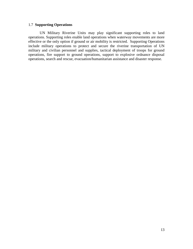#### 1.7 **Supporting Operations**

UN Military Riverine Units may play significant supporting roles to land operations. Supporting roles enable land operations when waterway movements are more effective or the only option if ground or air mobility is restricted. Supporting Operations include military operations to protect and secure the riverine transportation of UN military and civilian personnel and supplies, tactical deployment of troops for ground operations, fire support to ground operations, support to explosive ordnance disposal operations, search and rescue, evacuation/humanitarian assistance and disaster response.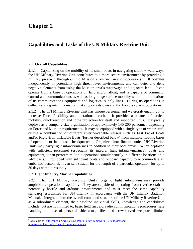# **Chapter 2**

# **Capabilities and Tasks of the UN Military Riverine Unit**

# 2.1 **Overall Capabilities**

2.1.1 Capitalizing on the mobility of its small boats in navigating shallow waterways, the UN Military Riverine Unit contributes to a more secure environment by providing a military presence throughout the Mission's riverine area of operations. It operates independently in potentially high threat level environments, and can deter and deny negative elements from using the Mission area's waterways and adjacent land. It can operate from a base of operations on land and/or afloat; and is capable of command, control and communications as well as long range surface mobility within the limitations of its communications equipment and logistical supply lines. During its operations, it collects and reports information that supports its own and the Force's current operations.

2.1.2 The UN Military Riverine Unit has unique personnel and watercraft enabling it to increase Force flexibility and operational reach. It provides a balance of tactical mobility, quick reaction and force protection for itself and supported units. It typically deploys as a company-size organization of approximately 140-200 personnel, depending on Force and Mission requirements. It may be equipped with a single type of water craft, or use a combination of different riverine-capable vessels such as Fast Patrol Boats and/or Rigid-Hull Inflatable Boats (further described below) from multiple floating bases of operation or land-based headquarters. Organized into floating units, UN Riverine Units may carry light infantry/marines in addition to their boat crews. When deployed with sufficient personnel (especially its integral light infantry/marines), boats and equipment, it can perform multiple operations simultaneously in different locations on a 24/7 basis. Equipped with sufficient boats and onboard capacity to accommodate all embarked personnel, it can self-sustain for the length of a particular operation for up to 30 days without resupply.

# 2.2 **Light Infantry/Marine Capabilities**

2.2.1 The UN Military Riverine Unit's organic light infantry/marines provide amphibious operations capability. They are capable of operating from riverine craft in potentially hostile and arduous environments and must meet the same capability standards established for UN infantry in accordance with the UN Infantry Battalion Manual.<sup>5</sup> Integrated into the overall command structure of the UN Military Riverine Unit as a subordinate element, their baseline individual skills, knowledge and capabilities include, but are not limited to, basic field first aid, radio communications procedures, safe handling and use of personal side arms, rifles and crew-served weapons, limited

 $\overline{\phantom{a}}$ <sup>5</sup> Available at: [http://ppdb.un.org/Nav%20Pages/PolicyFramework\\_Default.aspx](http://ppdb.un.org/Nav%20Pages/PolicyFramework_Default.aspx) and, [http://research.un.org/en/peacekeeping-community.](http://research.un.org/en/peacekeeping-community)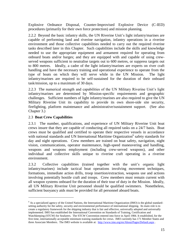Explosive Ordnance Disposal, Counter-Improvised Explosive Device (C-IED) procedures (primarily for their own force protection) and mission planning.

2.2.2 Beyond the basic infantry skills, the UN Riverine Unit's light infantry/marines are capable of performing land and riverine navigation, infantry operations in a riverine environment and those collective capabilities needed to carry out the required riverine tasks described later in this Chapter. Such capabilities include the skills and knowledge needed to use the appropriate equipment and armament required for operating from onboard boats and/or barges; and they are equipped with and capable of using crewserved weapons sufficient to neutralise targets out to 600 metres, or suppress targets out to 800 metres. Ideally, a cadre of the light infantry/marines are experts on river craft handling and have the necessary training and operational experience to operate from the type of boats on which they will serve while in the UN Mission. The light infantry/marines are required to be self-sustained for the duration of their onboard task/mission, up to a maximum of 30 days.

2.2.3 The numerical strength and capabilities of the UN Military Riverine Unit's light infantry/marines are determined by Mission-specific requirements and geographic challenges. Sufficient numbers of light infantry/marines are also required to give the UN Military Riverine Unit its capability to provide its own shore-side site security, firefighting, platform maintenance and administrative/sustainment support. (See also Chapter 3.)

# 2.3 **Boat Crew Capabilities**

 $\overline{\phantom{a}}$ 

2.3.1 The number, qualifications, and experience of UN Military Riverine Unit boat crews insure that they are capable of conducting all required tasks on a 24/7 basis. Boat crews must be qualified and certified to operate their respective vessels in accordance with national standards and UN International Maritime Organization<sup>6</sup> safety standards for day and night operations. Crew members are trained on boat safety, navigation, night vision, communications, operator maintenance, high-speed maneuvering and handling, weapons and weapons employment (including crew-served weapons), and other individual and collective skills unique to riverine craft operating in a riverine environment.

2.3.2 Collective capabilities (trained together with the unit's organic light infantry/marines) include tactical boat operations involving movement techniques, formations, immediate action drills, troop insertion/extraction, weapons use and actions involving potentially hostile craft and troops. Crew members must remain current with all weapon systems onboard for the duration of their tour of duty in the Mission. Ideally, all UN Military Riverine Unit personnel should be qualified swimmers. Nonetheless, sufficient buoyancy aids must be provided for all personnel aboard boats.

 $6$  As a specialized agency of the United Nations, the International Maritime Organization (IMO) is the global standardsetting authority for the safety, security and environmental performance of international shipping. Its main role is to create a regulatory framework for the shipping industry that is fair and effective, universally adopted and universally implemented. IMO has established the International Convention on Standards of Training, Certification and Watchkeeping (STCW) for Seafarers. The STCW Convention entered into force in April 1984. It established, for the first time, internationally acceptable minimum training standards for crews. IMO currently has 171 Member States and three Associate Members. The IMO website is available at: <http://www.imo.org/en/About/Pages/Default.aspx>.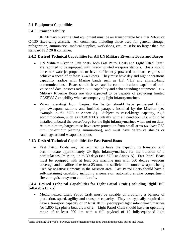# 2.4 **Equipment Capabilities**

# 2.4.1 **Transportability**

UN Military Riverine Unit equipment must be air transportable by either MI-26 or C-130 fixed-wing aircraft. All containers, including those used for general storage, refrigeration, ammunition, medical supplies, workshops, etc., must be no larger than the standard ISO 20 ft container.

# 2.4.2 **Desired Technical Capabilities for All UN Military Riverine Boats and Barges**

- UN Military Riverine Unit boats, both Fast Patrol Boats and Light Patrol Craft, are required to be equipped with fixed-mounted weapons stations. Boats should be either waterjet-propelled or have sufficiently powered outboard engines to achieve a speed of *at least* 35-40 knots. They must have day and night operations capability, radios with Marine bands such as HF, VHF and aircraft-band communications. Boats should have satellite communications capable of both voice and data, possess radar, GPS capability and echo sounding equipment.<sup>7</sup> UN Military Riverine Boats are also expected to be capable of providing limited CASEVAC capability when accompanying light infantry/marines.
- When operating from barges, the barges should have permanent firing points/weapons stations and fortified parapets installed by the Mission (see example in the SUR at Annex A). Subject to vessel/barge capacity, rigid accommodation, such as CORIMECs (ideally with air conditioning), should be installed onboard the vessel/barge for the light infantry/marines when not on duty. At a minimum, barges must have crew protection from small arms (*at least* 7.62 mm non-armour piercing ammunition), and must have defensive shields or sandbags around weapons stations.

# 2.4.3 **Desired Technical Capabilities for Fast Patrol Boats**

 Fast Patrol Boats may be required to have the capacity to transport and accommodate approximately 29 light infantry/marines for the duration of a particular task/mission, up to 30 days (see SUR at Annex A). Fast Patrol Boats must be equipped with at least one machine gun with 360 degree weapons coverage and a calibre of *at least* 23 mm, and sufficient to counter weapons being used by negative elements in the Mission area. Fast Patrol Boats should have a self-sustaining capability including a generator, automatic engine compartment fire extinguisher system and life rafts.

# 2.4.4 **Desired Technical Capabilities for Light Patrol Craft (Including Rigid-Hull Inflatable Boats)**

 Medium-sized Light Patrol Craft must be capable of providing a balance of protection, speed, agility and transport capacity. They are typically required to have a transport capacity of *at least* 10 fully-equipped light infantrymen/marines (or 1,800 kg) plus a boat crew of 2. Light Patrol Craft should have an operating range of at least 200 km with a full payload of 10 fully-equipped light

 $\overline{a}$  ${}^{7}$ Echo sounding is a type of SONAR used to determine depth by transmitting sound pulses into water.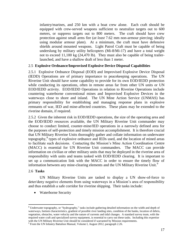infantry/marines, and 250 km with a boat crew alone. Each craft should be equipped with crew-served weapons sufficient to neutralize targets out to 600 meters, or suppress targets out to 800 meters. The craft should have crew protection against small arms fire (*at least* 7.62 mm non-armour piercing; ideally using modular armour plate). At a minimum, the craft must have defensive shields around mounted weapons. Light Patrol Craft must be capable of being underslung by military utility helicopters (Mi-8/Mi-17) and have a total weight not to exceed 11,100 kg (24,470 lb). They must also be capable of being trailerlaunched, and have a shallow draft of less than 1 meter.

## 2.5 **Explosive Ordnance/Improvised Explosive Device Disposal Capabilities**

2.5.1 Explosive Ordnance Disposal (EOD) and Improvised Explosive Device Disposal (IEDD) Operations are of primary importance to peacekeeping operations. The UN Riverine Unit should have some capability to provide for its own EOD/IEDD protection while conducting its operations, often in remote areas far from other UN units or UN EOD/IEDD activity. EOD/IEDD Operations in relation to Riverine Operations include countering waterborne conventional mines and Improvised Explosive Devices in the waterways close to shore and inland. The UN Mine Action Service (UNMAS) has primary responsibility for establishing and managing response plans in explosive remnants of war, IED and mine-affected countries. These plans may be extended to the riverine domain, if required.

2.5.2 Given the inherent risk in EOD/IEDD operations, the size of the operating area and the EOD/IEDD resources available, the UN Military Riverine Unit commander may choose to conduct limited, counter-mine/IED operations in a narrowly defined area for the purposes of self-protection and timely mission accomplishment. It is therefore crucial that UN Military Riverine Units thoroughly gather and collate information on underwater topography,<sup>8</sup> types of explosive ordnance and IEDs used, and the location of mined areas to facilitate such decisions. Contacting the Mission's Mine Action Coordination Centre (MACC) is essential for UN Riverine Unit commanders. The MACC can provide information on civilian or other military units that may be deployed in the riverine area of responsibility with units and teams tasked with EOD/IEDD clearing. It is important to set up a communication link with the MACC in order to ensure the timely flow of information between any mine-clearing elements and the UN Military Riverine Unit.<sup>9</sup>

#### 2.6 **Tasks**

l

UN Military Riverine Units are tasked to display a UN show-of-force to deter/deny negative elements from using waterways in a Mission's area of responsibility and thus establish a safe corridor for riverine shipping. Their tasks include:

• Waterborne Security

<sup>8</sup> Underwater topography, or "hydrography," tasks include gathering detailed information on the width and depth of waterways, bottom characteristics, gradient of possible river landing sites, condition of the banks, location of debris, vegetation, obstacles, water velocity and the nature of currents and tidal changes. A standard survey team, with the required water craft and specialized survey equipment, is essential to carry out these tasks. Including this expertise with the UN Military Riverine Unit should be considered if warranted by Mission requirements.<br><sup>9</sup> From the UN Infantry Battalion Manual, Volume I, August 2012, paragraph 2.26.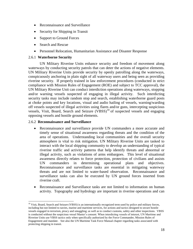- Reconnaissance and Surveillance
- Security for Shipping in Transit
- Support to Ground Forces
- Search and Rescue
- Personnel Relocation, Humanitarian Assistance and Disaster Response

#### 2.6.1 **Waterborne Security**

UN Military Riverine Units enhance security and freedom of movement along waterways by conducting security patrols that can deter the actions of negative elements. UN Military Riverine Units provide security by openly patrolling along the waterways, conspicuously anchoring in plain sight of all waterway users and being seen as providing riverine security. If properly trained in law enforcement procedures (conducted in strict compliance with Mission Rules of Engagement (ROE) and subject to TCC approval), the UN Military Riverine Unit can conduct interdiction operations along waterways, stopping and/or warning vessels suspected of engaging in illegal activity. Such interdicting security tasks may include random stop and search, establishing waterborne guard posts at choke points and key locations, visual and audio hailing of vessels, warning/warding off vessels suspected of illegal activities using flares and/or guns, intercepting suspicious vessels, Visit, Board, Search and Seizure  $(VBSS)^{10}$  of suspected vessels and engaging opposing vessels and hostile ground elements.

#### 2.6.2 **Reconnaissance and Surveillance**

 $\overline{\phantom{a}}$ 

- Reconnaissance and surveillance provide UN commanders a more accurate and timely sense of situational awareness regarding threats and the condition of the area of operations. Understanding local communities and the overall security atmosphere is vital to risk mitigation. UN Military Riverine Units are tasked to interact with the local shipping community to develop an understanding of typical riverine traffic and activity patterns that help identify threats and abnormal or illegal activity, such as violations of arms embargoes. This level of situational awareness directly relates to force protection, protection of civilians and assists UN commanders in determining operational plans and objectives. Reconnaissance and surveillance tasks are essential in mitigating waterway threats and are not limited to water-based observation. Reconnaissance and surveillance tasks can also be executed by UN ground forces inserted from riverine craft.
- Reconnaissance and Surveillance tasks are not limited to information on human activity. Topography and hydrology are important in riverine operations and can

<sup>&</sup>lt;sup>10</sup> Visit, Board, Search and Seizure (VBSS) is an internationally recognized term used by police and military forces, including but not limited to navies, marine and maritime services, for actions and tactics designed to secure hostile vessels engaged in terrorism, piracy and smuggling; as well as to conduct customs, safety and other inspections. VBSS is conducted without the suspicious vessel Master's consent. When interdicting vessels of interest, UN Maritime and Riverine Units use VBSS tactics only when specifically authorized by the Force Commander, Mission Rules of Engagement and mandate. See also the UN Maritime Task Force Manual chapter regarding tasks associated with protecting shipping in transit.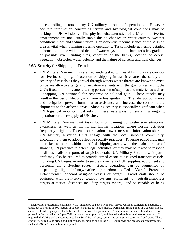be controlling factors in any UN military concept of operations. However, accurate information concerning terrain and hydrological conditions may be lacking in UN Missions. The physical characteristics of a Mission's riverine environment are not usually stable due to changes in water courses, weather conditions, tides and sedimentation. Consequently, reconnaissance of the Mission area is vital when planning riverine operations. Tasks include gathering detailed information on the width and depth of waterways, bottom characteristics, gradient of possible river landing sites, condition of the banks, location of debris, vegetation, obstacles, water velocity and the nature of currents and tidal changes.

#### 2.6.3 **Security for Shipping in Transit**

 $\overline{\phantom{a}}$ 

- UN Military Riverine Units are frequently tasked with establishing a safe corridor for riverine shipping. Protection of shipping in transit ensures the safety and security of vessels as they travel through waters where threats are known to exist. Ships are attractive targets for negative elements with the goal of restricting the UN's freedom of movement, taking possession of supplies and materiel as well as kidnapping UN personnel for economic or political gain. These attacks may result in the loss of life, physical harm or hostage-taking. They disrupt commerce and navigation, prevent humanitarian assistance and increase the cost of future shipments to the affected areas. Shipping security is especially significant when UN logistical mobility must rely on these waterways for sustaining ongoing operations or the resupply of UN sites.
- UN Military Riverine Unit tasks focus on gaining comprehensive situational awareness, as well as monitoring known locations where hostile activities frequently originate. To enhance situational awareness and information sharing, UN Military Riverine Units engage with the local shipping community, encouraging them to adopt effective security practices. Riverine patrol craft may be tasked to patrol within identified shipping areas, with the main purpose of showing UN presence to deter illegal activities, or they may be tasked to respond to distress calls or reports of suspicious craft. UN Military Riverine Unit patrol craft may also be required to provide armed escort to assigned transport vessels, including UN barges, in order to secure movement of UN supplies, equipment and personnel along riverine routes. Escort operations can be augmented by dispatching light infantry/marines (sometimes called "Vessel Protection Detachments") onboard assigned vessels or barges. Patrol craft should be equipped with crew-served weapon systems sufficient to neutralise/suppress targets at tactical distances including targets ashore,<sup>11</sup> and be capable of being

 $<sup>11</sup>$  Each vessel Protection Detachment (VPD) should be equipped with crew-served weapons sufficient to neutralise a</sup> target out to a range of 600 metres, or suppress a target out to 800 metres. Permanent firing points or weapon stations, as well as fortified parapets, should be installed on-board the patrol craft. At a minimum, all craft should have crew protection from small arms (up to 7.62 mm non-armour piercing), and defensive shields around weapon stations. If required, the VPDs will be accompanied by a Small Boat Group, comprising at least two patrol craft and crew. These craft are required to be armed and highly maneuverable to add to the VPD's firepower and provide emergency relief, such as CASEVAC extraction, if required.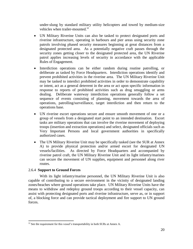under-slung by standard military utility helicopters and towed by medium-size vehicles when trailer-mounted.<sup>12</sup>

- UN Military Riverine Units can also be tasked to protect designated ports and riverine infrastructure, operating in harbours and pier areas using security zone patrols involving phased security measures beginning at great distances from a designated protected area. As a potentially negative craft passes through the security zones getting closer to the designated protected area, the UN Riverine patrol applies increasing levels of security in accordance with the applicable Rules of Engagement.
- Interdiction operations can be either random during routine patrolling, or deliberate as tasked by Force Headquarters. Interdiction operations identify and prevent prohibited activities in the riverine area. The UN Military Riverine Unit may be tasked to interdict prohibited activities in order to demonstrate capability or intent, act as a general deterrent in the area or act upon specific information in response to reports of prohibited activities such as drug smuggling or arms dealing. Deliberate waterway interdiction operations generally follow a set sequence of events consisting of planning, movement towards the area of operations, patrolling/surveillance, target interdiction and then return to the operations base.
- UN riverine escort operations secure and ensure smooth movement of one or a group of vessels from a designated start point to an intended destination. Escort tasks are military operations that can involve the riverine movement of deploying troops (insertion and extraction operations) and select, designated officials such as Very Important Persons and local government authorities in specifically authorized cases.
- The UN Military Riverine Unit may be specifically tasked (see the SUR at Annex A) to provide physical protection and/or armed escort for designated UN vessels/facilities. As directed by Force Headquarters and accompanied by riverine patrol craft, the UN Military Riverine Unit and its light infantry/marines can secure the movement of UN supplies, equipment and personnel along river routes.

#### 2.6.4 **Support to Ground Forces**

l

With its light infantry/marine personnel, the UN Military Riverine Unit is also capable of contributing to a secure environment in the vicinity of designated landing zones/beaches where ground operations take place. UN Military Riverine Units have the means to withdraw and redeploy ground troops according to their vessel capacity, can assist with protecting designated ports and riverine infrastructure, serve as, or in support of, a blocking force and can provide tactical deployment and fire support to UN ground forces.

 $12$  See the requirement for this vessel's transportability in both SURs at Annex A.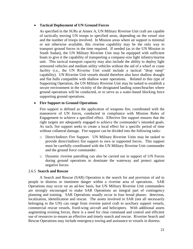#### **Tactical Deployment of UN Ground Forces**

As specified in the SURs at Annex A, UN Military Riverine Unit craft are capable of tactically moving UN troops to specified areas, depending on the vessel size and the number of troops involved. In Mission areas where air support is minimal or not otherwise available, this riverine capability may be the only way to transport ground forces in the time required. If needed (as in the UN Mission in South Sudan), the UN Military Riverine Unit may be equipped with sufficient boats to give it the capability of transporting a company-size light infantry/marine unit. This tactical transport capacity may also include the ability to deploy light armoured vehicles and medium utility vehicles without the aid of a wharf or crane facility (i.e., the UN Riverine Unit could include a tactical "drop ramp" capability). UN Riverine Unit vessels should therefore also have shallow draught and flat hulls compatible with shallow water operations. Related to this type of Supporting Operation, the UN Military Riverine Unit may be tasked to establish a secure environment in the vicinity of the designated landing zones/beaches where ground operations will be conducted, or to serve as a water-based blocking force supporting ground operations.

#### **Fire Support to Ground Operations**

Fire support is defined as the application of weapons fire, coordinated with the manoeuvre of UN forces, conducted in compliance with Mission Rules of Engagement to achieve a specified effect. Effective fire support ensures that the right targets are adequately engaged to achieve the commander's intended goals. As such, fire support seeks to create a local effect for a specific period of time without collateral damage. Fire support can be divided into the following tasks:

- o Direct/Indirect Fire Support. UN Military Riverine Units may be tasked to provide direct/indirect fire support to own or supported forces. This support must be carefully coordinated with the UN Military Riverine Unit commander and the ground force commander.
- o Dynamic riverine patrolling can also be carried out in support of UN Forces during ground operations to dominate the waterway and protect against negative forces.

#### 2.6.5 **Search and Rescue**

A Search and Rescue (SAR) Operation is the search for and provision of aid to people in distress or imminent danger within a riverine area of operations. SAR Operations may occur on an ad-hoc basis, but UN Military Riverine Unit commanders are strongly encouraged to make SAR Operations an integral part of contingency planning and training. SAR Operations usually occur in four broad phases: detection, localization, identification and rescue. The assets involved in SAR (not all necessarily belonging to the UN) can range from riverine patrol craft to auxiliary support vessels, commercial rescue vessels, fixed-wing aircraft and helicopters. With additional assets augmenting existing forces, there is a need for clear command and control and efficient use of resources to ensure an effective and timely search and rescue. Riverine Search and Rescue Operations may include emergency towing and assistance to vessels in distress.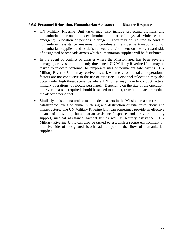#### 2.6.6 **Personnel Relocation, Humanitarian Assistance and Disaster Response**

- UN Military Riverine Unit tasks may also include protecting civilians and humanitarian personnel under imminent threat of physical violence and emergency relocation of persons in danger. They may be required to conduct humanitarian assistance missions to coordinate the riverine transportation of humanitarian supplies, and establish a secure environment on the riverward side of designated beachheads across which humanitarian supplies will be distributed.
- In the event of conflict or disaster where the Mission area has been severely damaged, or lives are imminently threatened, UN Military Riverine Units may be tasked to relocate personnel to temporary sites or permanent safe havens. UN Military Riverine Units may receive this task when environmental and operational factors are not conducive to the use of air assets. Personnel relocation may also occur under high threat scenarios where UN forces may have to conduct tactical military operations to relocate personnel. Depending on the size of the operation, the riverine assets required should be scaled to extract, transfer and accommodate the affected personnel.
- Similarly, episodic natural or man-made disasters in the Mission area can result in catastrophic levels of human suffering and destruction of vital installations and infrastructure. The UN Military Riverine Unit can sometimes provide an effective means of providing humanitarian assistance/response and provide mobility support, medical assistance, tactical lift as well as security assistance. UN Military Riverine Units can also be tasked to establish a secure environment on the riverside of designated beachheads to permit the flow of humanitarian supplies.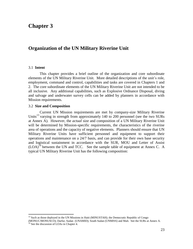# **Chapter 3**

# **Organization of the UN Military Riverine Unit**

#### 3.1 **Intent**

l

This chapter provides a brief outline of the organization and core subordinate elements of the UN Military Riverine Unit. More detailed descriptions of the unit's role, employment, command and control, capabilities and tasks are covered in Chapters 1 and 2. The core subordinate elements of the UN Military Riverine Unit are not intended to be all inclusive. Any additional capabilities, such as Explosive Ordnance Disposal, diving and salvage and underwater survey cells can be added by planners in accordance with Mission requirements.

#### 3.2 **Size and Composition**

Current UN Mission requirements are met by company-size Military Riverine Units<sup>13</sup> varying in strength from approximately 140 to 200 personnel (see the two SURs at Annex A). However, the *actual* size and composition of a UN Military Riverine Unit will be determined by Mission-specific requirements, the characteristics of the riverine area of operations and the capacity of negative elements. Planners should ensure that UN Military Riverine Units have sufficient personnel and equipment to support their operations and maintenance on a 24/7 basis, and can provide for their own base security and logistical sustainment in accordance with the SUR, MOU and Letter of Assist  $(LOA)^{14}$  between the UN and TCC. See the sample table of equipment at Annex C. A typical UN Military Riverine Unit has the following composition:

 $13$  Such as those deployed in the UN Missions in Haiti (MINUSTAH); the Democratic Republic of Congo

<sup>(</sup>MONUC/MONUSCO); Darfur, Sudan (UNAMID); South Sudan (UNMISS) and Mali. See the SURs at Annex A.  $14$  See the discussion of LOAs in Chapter 4.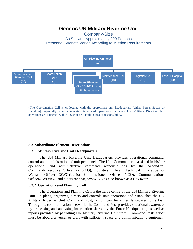# **Generic UN Military Riverine Unit**

# Company-Size As Shown: Approximately 200 Persons Personnel Strength Varies According to Mission Requirements



\*The Coordination Cell is co-located with the appropriate unit headquarters (either Force, Sector or Battalion), especially when conducting integrated operations, or when UN Military Riverine Unit operations are launched within a Sector or Battalion area of responsibility.

#### 3.3 **Subordinate Element Descriptions**

#### 3.3.1 **Military Riverine Unit Headquarters**

The UN Military Riverine Unit Headquarters provides operational command, control and administration of unit personnel. The Unit Commander is assisted in his/her operational and administrative command responsibilities by the Second-in-Command/Executive Officer (2IC/XO), Logistics Officer, Technical Officer/Senior Warrant Officer (SWO)/Junior Commissioned Officer (JCO), Communications Officer/SWO/JCO and a Sergeant Major/SWO/JCO also known as a Coxswain.

#### 3.3.2 **Operations and Planning Cell**

The Operations and Planning Cell is the nerve centre of the UN Military Riverine Unit. It plans, organizes, directs and controls unit operations and establishes the UN Military Riverine Unit Command Post, which can be either land-based or afloat. Through its communications network, the Command Post provides situational awareness by processing and analysing information shared by the Force Headquarters, as well as reports provided by patrolling UN Military Riverine Unit craft. Command Posts afloat must be aboard a vessel or craft with sufficient space and communications equipment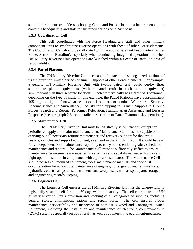suitable for the purpose. Vessels hosting Command Posts afloat must be large enough to contain a headquarters and staff for sustained periods on a 24/7 basis.

## 3.3.3 **Coordination Cell**

This cell coordinates with the Force Headquarters staff and other military component units to synchronize riverine operations with those of other Force elements. The Coordination Cell should be collocated with the appropriate unit headquarters (either Force, Sector or Battalion), especially when conducting integrated operations, or when UN Military Riverine Unit operations are launched within a Sector or Battalion area of responsibility.

#### 3.3.4 **Patrol Platoons**

The UN Military Riverine Unit is capable of detaching task-organized portions of its structure for limited periods of time in support of other Force elements. For example, a generic UN Military Riverine Unit with twelve patrol craft could deploy three subordinate platoon-equivalents (with 4 patrol craft in each platoon-equivalent) simultaneously in three separate locations. Each craft typically has a crew of 3 personnel, depending on the type of craft. In this example, the Patrol Platoons have approximately 105 organic light infantry/marine personnel onboard to conduct Waterborne Security, Reconnaissance and Surveillance, Security for Shipping in Transit, Support to Ground Forces, Search and Rescue, Personnel Relocation, Humanitarian Assistance and Disaster Response (see paragraph 2.6 for a detailed description of Patrol Platoon tasks/operations).

## 3.3.5 **Maintenance Cell**

The UN Military Riverine Unit must be logistically self-sufficient, except for periodic re-supply and major maintenance. Its Maintenance Cell must be capable of carrying out all necessary routine maintenance and recovery support for the unit's vessels, vehicles and support equipment, as agreed in the MOU/LOA. It should have a fully independent boat maintenance capability to carry out essential logistics, scheduled maintenance and repairs. The Maintenance Cell must be sufficiently staffed to ensure maintenance requirements are satisfied in capacities and capabilities needed for day and night operations, done in compliance with applicable standards. The Maintenance Cell should possess all required equipment, tools, maintenance manuals and specialist documentation for at least the maintenance of engines, hulls, gearboxes/transmissions, hydraulics, electrical systems, instruments and weapons, as well as spare parts storage, and engineering records keeping.

# 3.3.6 **Logistics Cell**

The Logistics Cell ensures the UN Military Riverine Unit has the wherewithal to logistically sustain itself for up to 30 days without resupply. The cell coordinates the UN Military Riverine Unit's provision and stocking of all categories of supplies, including general stores, ammunition, rations and repair parts. The cell ensures proper maintenance, serviceability and inspection of both UN-Owned and Contingent-Owned Equipment, including the installation and maintenance of electronic counter-measure (ECM) systems especially on patrol craft, as well as counter-mine equipment/measures.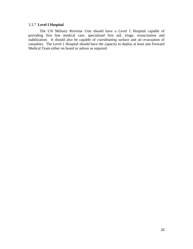# 3.3.7 **Level I Hospital**

The UN Military Riverine Unit should have a Level 1 Hospital capable of providing first line medical care, specialized first aid, triage, resuscitation and stabilization. It should also be capable of *coordinating* surface and air evacuation of casualties. The Level 1 Hospital should have the capacity to deploy at least one Forward Medical Team either on board or ashore as required.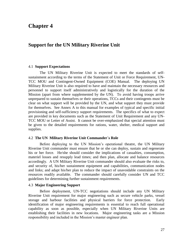# **Chapter 4**

# **Support for the UN Military Riverine Unit**

#### 4.1 **Support Expectations**

The UN Military Riverine Unit is expected to meet the standards of selfsustainment according to the terms of the Statement of Unit or Force Requirement, UN-TCC MOU and Contingent-Owned Equipment (COE) Manual. The deploying UN Military Riverine Unit is also required to have and maintain the necessary resources and personnel to support itself administratively and logistically for the duration of the Mission (apart from where supplemented by the UN). To avoid having troops arrive unprepared to sustain themselves or their operations, TCCs and their contingents must be clear on what support will be provided by the UN, and what support they must provide for themselves. See Annex A to this manual for examples of typical and specific initial provisioning and self-sufficiency support requirements. The specifics of what to expect are provided in key documents such as the Statement of Unit Requirement and any UN-TCC MOU or Letter of Assist. It cannot be over-emphasized that special attention must be given to the detailed requirements for rations, water, shelter, medical support and supplies.

#### 4.2 **The UN Military Riverine Unit Commander´s Role**

Before deploying to the UN Mission's operational theatre, the UN Military Riverine Unit commander must ensure that he or she can deploy, sustain and regenerate his or her force. He/she should consider the implications of casualties, consumption, materiel losses and resupply lead times; and then plan, allocate and balance resources accordingly. A UN Military Riverine Unit commander should also evaluate the risks to, and security of, his/her sustainment equipment and capabilities, communication nodes and links; and adapt his/her plan to reduce the impact of unavoidable constraints on the resources readily available. The commander should carefully consider UN and TCC guidelines for determining further sustainment requirements.

#### 4.3 **Major Engineering Support**

Before deployment, UN-TCC negotiations should include any UN Military Riverine Unit requirement for major engineering such as secure vehicle parks, vessel storage and harbour facilities and physical barriers for force protection. Early identification of major engineering requirements is essential to reach full operational capability as soon as possible, especially when UN Military Riverine Units are establishing their facilities in new locations. Major engineering tasks are a Mission responsibility and included in the Mission's master engineer plan.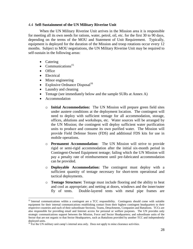#### 4.4 **Self-Sustainment of the UN Military Riverine Unit**

When the UN Military Riverine Unit arrives in the Mission area it is responsible for meeting all its own needs for rations, water, petrol, oil, etc. for the first 30 to 90 days, depending on the terms of the MOU and Statement of Unit Requirement. Typically, equipment is deployed for the duration of the Mission and troop rotations occur every 12 months. Subject to MOU negotiations, the UN Military Riverine Unit may be required to self-sustain in the following areas:

- Catering
- Communications<sup>15</sup>
- Office

 $\overline{a}$ 

- Electrical
- Minor engineering
- Explosive Ordnance Disposal $16$
- Laundry and cleaning
- Tentage (see immediately below and the sample SURs at Annex A)
- Accommodation
	- o **Initial Accommodation:**The UN Mission will prepare green field sites under austere conditions at the deployment location. The contingent will need to deploy with sufficient tentage for all accommodation, storage, offices, ablutions and workshops, etc. Water sources will be arranged by the UN Mission; the contingent will deploy sufficient water purification units to produce and consume its own purified water. The Mission will provide Field Defense Stores (FDS) and additional FDS kits for use in mobile operations.
	- o **Permanent Accommodation:** The UN Mission will strive to provide rigid or semi-rigid accommodation after the initial six-month period in Contingent-Owned Equipment tentage; failing which the UN Mission will pay a penalty rate of reimbursement until pre-fabricated accommodation can be provided.
	- o **Deployable Accommodation:** The contingent must deploy with a sufficient quantity of tentage necessary for short-term operational and tactical deployments.
	- o **Tentage Structure:** Tentage must include flooring and the ability to heat and cool as appropriate; and netting at doors, windows and the inner/outer fly of tents. Double-layered tents with metal pipe frames are

<sup>&</sup>lt;sup>15</sup> Internal communications within a contingent are a TCC responsibility. Contingents should come with suitable equipment for their internal communications establishing contact from their highest contingent headquarters to their respective countries and each of their subordinate Sections, Teams, Detachments, Companies and Battalions. TCCs are also responsible for providing email and Internet access for personal or welfare purposes. The UN provides only strategic communications support between the Mission, Force and Sector Headquarters; and subordinate units of the Sector that are not organic to that Sector Headquarters, such as Battalions provided by another TCC and independently deployed units.

 $16$  For the UN military unit camp's internal area only. Does not apply to mine clearance activities.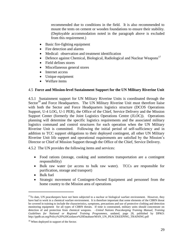recommended due to conditions in the field. It is also recommended to mount the tents on cement or wooden foundations to ensure their stability. (Deployable accommodation noted in the paragraph above is excluded from this requirement.)

- Basic fire-fighting equipment
- Fire detection and alarms
- Medical: observation and treatment identification
- $\bullet$  Defence against Chemical, Biological, Radiological and Nuclear Weapons<sup>17</sup>
- Field defines stores
- Miscellaneous general stores
- Internet access
- Unique equipment
- Welfare items

#### 4.5 **Force and Mission-level Sustainment Support for the UN Military Riverine Unit**

4.5.1 Sustainment support for UN Military Riverine Units is coordinated through the Sector<sup>18</sup> and Force Headquarters. The UN Military Riverine Unit must therefore liaise with both the Sector and Force Headquarters logistics structure (DCOS Operations Support, U-4 LOG, U-1 PER), the Office of the Chief, Service Delivery and the Mission Support Center (formerly the Joint Logistics Operations Centre (JLOC)).Operations planning will determine the specific logistics requirements and the associated military logistics command and control structures for each operation when the UN Military Riverine Unit is committed. Following the initial period of self-sufficiency and in addition to TCC support obligations to their deployed contingent, all other UN Military Riverine Unit life support and operational requirements are satisfied by the Mission's Director or Chief of Mission Support through the Office of the Chief, Service Delivery.

4.5.2 The UN provides the following items and services:

- Food rations (storage, cooking and sometimes transportation are a contingent responsibility)
- Bulk raw water (or access to bulk raw water). TCCs are responsible for purification, storage and transport)
- Bulk fuel

 $\overline{a}$ 

 Strategic movement of Contingent-Owned Equipment and personnel from the home country to the Mission area of operations

 $17$ To date, UN peacekeepers have not been subjected to a nuclear or biological warfare environment. However, they have had to work in a chemical warfare environment. It is therefore important that some elements of the CBRN threat be covered in training to include the characteristics, symptoms, precautions and use of protective clothing and detection monitoring equipment for all types of CBRN threats. If time is constrained, military units should concentrate on detection of and protection from chemical weapons*. –United Nations Peacekeeping Training Manual, Training Guidelines for National or Regional Training Programmes,* undated, page 28, published by DPKO: http://ppdb.un.org/Policy%20%20Guidance%20Database/MAN\_UN\_PEACEKEEPING\_TRAINING.pdf

<sup>&</sup>lt;sup>18</sup> When deployed in support of the Sector.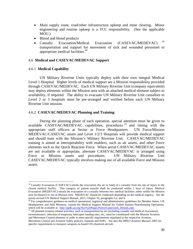- Main supply route, road/other infrastructure upkeep and mine clearing. Minor engineering and routine upkeep is a TCC responsibility. (See the applicable MOU.)
- Blood and blood products
- Casualty Evacuation/Medical Evacuation (CASEVAC/MEDEVAC)<sup>19</sup> transportation and support for movement of sick and wounded personnel to appropriate medical facilities.<sup>20</sup>

#### 4.6 **Medical and CASEVAC/MEDEVAC Support**

#### 4.6.1 **Medical Capability**

 $\overline{a}$ 

UN Military Riverine Units typically deploy with their own integral Medical Level 1 Hospital. Higher levels of medical support are a Mission responsibility provided through CASEVAC/MEDEVAC. Each UN Military Riverine Unit (company equivalent) may deploy elements within the Mission area with an attached medical element subject to availability, if required. The ability to evacuate UN Military Riverine Unit casualties to Level 2 or 3 hospitals must be pre-arranged and verified before each UN Military Riverine Unit mission.

#### 4.6.2 **CASEVAC/MEDEVAC Planning and Training**

During the planning phase of each operation, special attention must be given to available CASEVAC/MEDEVAC capabilities, procedures  $21$  and timing with the appropriate staff officers at Sector or Force Headquarters. UN Force/Mission MEDEVAC/CASEVAC assets and Level 1/2/3 Hospitals will provide medical support and should train with the Mission's Military Riverine Unit. CASEVAC/MEDEVAC training is aimed at interoperability with enablers, such as air assets, and other Force elements such as the Quick Reaction Force. When aerial CASEVAC/MEDEVAC assets are not available or appropriate, alternate CASEVAC/MEDEVAC is arranged using Force or Mission assets and procedures. UN Military Riverine Unit CASEVAC/MEDEVAC typically involves making use of all available Force and Mission assets.

<sup>&</sup>lt;sup>19</sup> Casualty Evacuation (CASEVAC) entails the evacuation (by air or land) of a casualty from the site of injury to the closest medical facility. This category of patient transfer shall be conducted within 1 hour of injury. Medical Evacuation (MEDEVAC) entails the evacuation of a casualty between two medical facilities; either within the Mission area (in-theatre) or out of Mission area. MEDEVAC should be conducted depending on the medical urgency. See the newly-revised UN Medical Support Manual, 2015, Chapter 10, paragraphs 9.a. and b.

 $^{20}$  For comprehensive guidance on medical operational, logistical and administrative guidelines for Member States, UN Headquarters and field Missions, consult the Medical Support Manual for United Nations Peacekeeping Operations, which will be available at: http://ppdb.un.org/Nav%20Pages/PolicyFramework\_Default.aspx

<sup>&</sup>lt;sup>21</sup> All planned aviation-related activities, such as transportation by air (including casualty and medical evacuation),

reconnaissance, selection of temporary helicopter landing sites, etc., must be coordinated with the Mission Aviation and Movement Control elements in order to meet specific requirements stipulated in the respective Aviation, Movement Control and Aviation Safety policies, manuals and SOPs. See also the DPKO *Aviation Manual,* 2005 for specific requirements to transport weapons on board UN-chartered aircraft.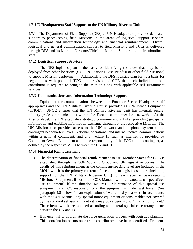#### 4.7 **UN Headquarters Staff Support to the UN Military Riverine Unit**

4.7.1 The Department of Field Support (DFS) at UN Headquarters provides dedicated support to peacekeeping field Missions in the areas of logistical support services, communications and information technology and financial reimbursement. Overall logistical and general administration support to field Missions and TCCs is delivered through DFS and its Mission Directors/Chiefs of Mission Support and their subordinate staff.

#### 4.7.2 **Logistical Support Services**

The DFS logistics plan is the basis for identifying resources that may be redeployed from other locations (e.g., UN Logistics Base Brindisi or other field Missions) to support Mission deployment. Additionally, the DFS logistics plan forms a basis for negotiations with potential TCCs on provision of COE that each individual troop contributor is required to bring to the Mission along with applicable self-sustainment services.

#### 4.7.3 **Communications and Information Technology Support**

Equipment for communications between the Force or Sector Headquarters (if appropriate) and the UN Military Riverine Unit is provided as UN-Owned Equipment (UNOE). UNOE ensures that the UN Military Riverine Unit has integral, secure, military-grade communications within the Force's communications network. At the Mission-level, the UN establishes strategic communications links, providing geospatial information and enabling information exchange throughout the respective Mission. The UN Mission also provides access to the UN network and telephone system at the contingent headquarters level. National, operational and internal tactical communications within a national contingent, and any welfare IT such as internet, is provided by Contingent-Owned Equipment and is the responsibility of the TCC and its contingent, as defined by the respective MOU between the UN and TCC.

#### 4.7.4 **Financial Reimbursement**

- The determination of financial reimbursement to UN Member States for COE is established through the COE Working Group and UN legislative bodies. The details of this reimbursement at the contingent-specific level are included in the MOU, which is the primary reference for contingent logistics support (including support for the UN Military Riverine Unit) for each specific peacekeeping Mission. Equipment, if not in the COE Manual, will be treated as a "specialized use equipment" if the situation requires. Maintenance of this special use equipment is a TCC responsibility if the equipment is under wet lease. (See paragraph 4.8 below for an explanation of wet and dry leases.) In accordance with the COE Manual, any special minor equipment or consumables not covered by the standard self-sustainment rates may be categorized as "unique equipment." These items will be reimbursed according to bilateral special case arrangements between the UN and TCC.
- It is essential to coordinate the force generation process with logistics planning. This coordination occurs once troop contributors have been identified. Problems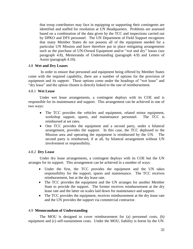that troop contributors may face in equipping or supporting their contingents are identified and staffed for resolution at UN Headquarters. Problems are assessed based on a combination of the data given by the TCC and inspections carried out by DPKO and DFS personnel. The UN Department of Field Support recognizes that many Member States do not possess all of the equipment needed for a particular UN Mission and have therefore put in place mitigating arrangements such as the purchase of UN-Owned Equipment and/or "wet and dry" leases (see paragraph 4.8), Memoranda of Understanding (paragraph 4.9) and Letters of Assist (paragraph 4.10).

#### 4.8 **Wet and Dry Leases**

In order to ensure that personnel and equipment being offered by Member States come with the required capability, there are a number of options for the provision of equipment and its support. These options come under the headings of "wet lease" and "dry lease" and the option chosen is directly linked to the rate of reimbursement.

#### 4.8.1 **Wet Lease**

Under wet lease arrangements, a contingent deploys with its COE and is responsible for its maintenance and support. This arrangement can be achieved in one of two ways:

- The TCC provides the vehicles and equipment, related minor equipment, workshop support, spares, and maintenance personnel. The TCC is reimbursed at set rates.
- One TCC provides the equipment and a second party, under a bilateral arrangement, provides the support. In this case, the TCC deployed to the Mission area and operating the equipment is reimbursed by the UN. The second party is reimbursed, if at all, by bilateral arrangement without UN involvement or responsibility.

#### 4.8.2 **Dry Lease**

Under dry lease arrangements, a contingent deploys with its COE but the UN arranges for its support. This arrangement can be achieved in a number of ways:

- Under the first, the TCC provides the equipment and the UN takes responsibility for the support, spares and maintenance. The TCC receives reimbursement, but at the dry lease rate.
- The TCC provides the equipment and the UN arranges for another Member State to provide the support. The former receives reimbursement at the dry lease rate and the latter on scales laid down for maintenance and support.
- The TCC provides the equipment, receives reimbursement at the dry lease rate and the UN provides the support via commercial contractor.

#### 4.9 **Memorandum of Understanding**

The MOU is designed to cover reimbursement for (a) personnel costs, (b) equipment and (c) self-sustainment costs. Under the MOU, liability is borne by the UN.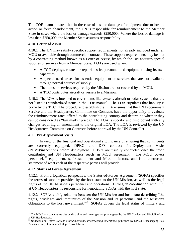The COE manual states that in the case of loss or damage of equipment due to hostile action or force abandonment, the UN is responsible for reimbursement to the Member State in cases where the loss or damage exceeds \$250,000. Where the loss or damage is less than \$250,000, the Member State assumes responsibility.

# 4.10 **Letter of Assist**

4.10.1 The UN may satisfy specific support requirements not already included under an MOU or available through commercial contract. These support requirements may be met by a contracting method known as a Letter of Assist, by which the UN acquires special supplies or services from a Member State. LOAs are used when:

- A TCC deploys, rotates or repatriates its personnel and equipment using its own capacities.
- A special need arises for essential equipment or services that are not available through normal sources of supply.
- The items or services required by the Mission are not covered by an MOU.
- A TCC contributes aircraft or vessels to a Mission.

4.10.2 The LOA is intended to cover items like vessels, aircraft or radar systems that are not listed as standardized items in the COE manual. The LOA stipulates that liability is borne by the TCC. The procedure to establish the LOA ensures that the UN Procurement Service and the Headquarters Committee on Contracts have the opportunity to evaluate the reimbursement rates offered to the contributing country and determine whether they can be considered as "fair market prices." The LOA is specific and time bound with any changes requiring an amendment to the original LOA. The LOA is reviewed by the UN Headquarters Committee on Contracts before approval by the UN Controller.

# 4.11 **Pre-Deployment Visits**

In view of the financial and operational significance of ensuring that contingents are correctly equipped, DPKO and DFS conduct Pre-Deployment Visits (PDVs)/inspections before deployment. PDV's are usually conducted once the troop contributor and UN Headquarters reach an MOU agreement. The MOU covers personnel, <sup>22</sup> equipment, self-sustainment and Mission factors, and is a contractual statement of what each of the respective parties will provide.

# 4.12 **Status of Forces Agreement**

4.12.1 From a logistical perspective, the Status-of-Forces Agreement (SOFA) specifies the terms of support provided by the host state to the UN Mission, as well as the legal rights of the UN Mission's personnel and operations. DPKO, in coordination with DFS at UN Headquarters, is responsible for negotiating SOFAs with the host state.

4.12.2 SOFAs codify relations between the UN Mission and host state describing "the rights, privileges and immunities of the Mission and its personnel and the Mission's obligations to the host government."<sup>23</sup> SOFAs govern the legal status of military and

 $\overline{\phantom{a}}$  $22$  The MOU also contains articles on discipline and investigations promulgated by the UN Conduct and Discipline Unit at UN Headquarters.

<sup>23</sup> *Handbook on United Nations Multidimensional Peacekeeping Operations,* published by DPKO Peacekeeping Best Practices Unit, December 2003, p.13, available at: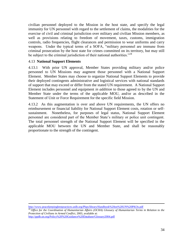civilian personnel deployed to the Mission in the host state, and specify the legal immunity for UN personnel with regard to the settlement of claims, the modalities for the exercise of civil and criminal jurisdiction over military and civilian Mission members, as well as provisions relating to freedom of movement, taxes, customs, immigration controls, radio frequencies, flight clearances and permission to wear uniforms and carry weapons. Under the typical terms of a SOFA, "military personnel are immune from criminal prosecution by the host state for crimes committed on its territory, but may still be subject to the criminal jurisdiction of their national authorities."<sup>24</sup>

## 4.13 **National Support Elements**

 $\overline{\phantom{a}}$ 

4.13.1 With prior UN approval, Member States providing military and/or police personnel to UN Missions may augment those personnel with a National Support Element. Member States may choose to organize National Support Elements to provide their deployed contingents administrative and logistical services with national standards of support that may exceed or differ from the stated UN requirement. A National Support Element includes personnel and equipment *in addition* to those agreed to by the UN and Member State under the terms of the applicable MOU, and/or as described in the Statement of Unit or Force Requirement for the specific field Mission.

4.13.2 As this augmentation is over and above UN requirements, the UN offers no reimbursement or financial liability for National Support Element costs, rotation or selfsustainment. Nonetheless, for purposes of legal status, National Support Element personnel are considered part of the Member State's military or police unit contingent. The total personnel strength of the National Support Element will be specified in the applicable MOU between the UN and Member State, and shall be reasonably proportionate to the strength of the contingent.

<http://www.peacekeepingbestpractices.unlb.org/Pbps/library/Handbook%20on%20UN%20PKOs.pdf> <sup>24</sup> Office for the Coordination of Humanitarian Affairs (OCHA) Glossary of Humanitarian Terms in Relation to the *Protection of Civilians in Armed Conflict,* 2003, available at: <http://ppdb.un.org/Policy%20%20Guidance%20Database/Glossary2004.pdf>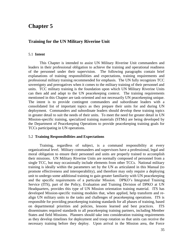# **Chapter 5**

## **Training for the UN Military Riverine Unit**

#### 5.1 **Intent**

This Chapter is intended to assist UN Military Riverine Unit commanders and leaders in their professional obligation to achieve the training and operational readiness of the personnel under their supervision. The following paragraphs contain brief explanations of training responsibilities and expectations, training requirements and professional military training recommended for emphasis. The UN fully recognizes TCC sovereignty and prerogatives when it comes to the military training of their personnel and units. TCC military training is the foundation upon which UN Military Riverine Units can then add and adapt to the UN peacekeeping context. The training requirements mentioned in this Chapter are task-oriented and not necessarily UN peacekeeping unique. The intent is to provide contingent commanders and subordinate leaders with a consolidated list of important topics as they prepare their units for and during UN deployment. Commanders and subordinate leaders should develop these training topics in greater detail to suit the needs of their units. To meet the need for greater detail in UN Mission-specific training, specialized training materials (STMs) are being developed by the Department of Peacekeeping Operations to provide peacekeeping training goals for TCCs participating in UN operations.

#### 5.2 **Training Responsibilities and Expectations**

Training, regardless of subject, is a command responsibility at every organizational level. Military commanders and supervisors have a professional, legal and moral obligation to ensure their personnel and units are properly trained to accomplish their missions. UN Military Riverine Units are normally composed of personnel from a single TCC, but may occasionally include elements from other TCCs. National military training is ideally within the parameters set by the UN as articulated in this Manual (to promote effectiveness and interoperability), and therefore may only require a deploying unit to undergo some additional training to gain greater familiarity with UN peacekeeping and the specific requirements of a particular Mission. DPKO's Integrated Training Service (ITS), part of the Policy, Evaluation and Training Division of DPKO at UN Headquarters, provides this type of UN Mission orientation training material. ITS has developed Mission-specific training modules that, when applied, help transform and realign UN military units to the tasks and challenges of peacekeeping operations. ITS is responsible for providing peacekeeping training standards for all phases of training, based on departmental priorities and policies, lessons learned and best practices. ITS disseminates required standards to all peacekeeping training partners, including Member States and field Missions. Planners should take into consideration training requirements as they develop timelines for deployment and troop rotation so that units can receive the necessary training before they deploy. Upon arrival in the Mission area, the Force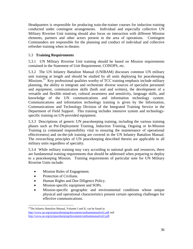Headquarters is responsible for producing train-the-trainer courses for induction training conducted under contingent arrangements. Individual and especially collective UN Military Riverine Unit training should also focus on interaction with different Mission elements, partners and other actors present in the area of operations. Contingent Commanders are responsible for the planning and conduct of individual and collective refresher training when in-theatre.

# 5.3 **Training Requirements**

5.3.1 UN Military Riverine Unit training should be based on Mission requirements contained in the Statement of Unit Requirement, CONOPS, etc.

5.3.2 The UN Infantry Battalion Manual (UNIBAM) discusses common UN military unit training at length and should be studied by all units deploying for peacekeeping Missions.<sup>25</sup> Key professional qualities worthy of TCC training emphasis include military planning, the ability to integrate and orchestrate diverse sources of specialist personnel and equipment, communication skills (both oral and written), the development of a versatile and flexible mind-set, cultural awareness and sensitivity, language skills, and knowledge of the UN communications and information technology system. Communications and information technology training is given by the Information, Communications and Technology Division of the Integrated Training Service in the Department of Field Support. This training includes intensive system and technologyspecific training on UN-provided equipment.

5.3.3 Descriptions of generic UN peacekeeping training, including the various training phases such as Pre-Deployment Training, Induction Training, Ongoing or In-Mission Training (a command responsibility vital to ensuring the maintenance of operational effectiveness) and on-the-job training are covered in the UN Infantry Battalion Manual. The overarching principles of UN peacekeeping described therein are applicable to all military units regardless of specialty.

5.3.4 While military training may vary according to national goals and resources, there are fundamental training requirements that should be addressed when preparing to deploy to a peacekeeping Mission. Training requirements of particular note for UN Military Riverine Units include:

- Mission Rules of Engagement.
- Protection of Civilians.

 $\overline{a}$ 

- Human Rights and Due Diligence Policy.
- Mission-specific equipment and SOPs.
- Mission-specific geographic and environmental conditions whose unique physical and operational characteristics present certain operating challenges for effective communications.

 $25$ The Infantry Battalion Manual, Volumes I and II, can be found at: <http://www.un.org/en/peacekeeping/documents/unibammanualvol1.pdf> and [http://www.un.org/en/peacekeeping/documents/unibammanualvol2.pdf.](http://www.un.org/en/peacekeeping/documents/unibammanualvol2.pdf)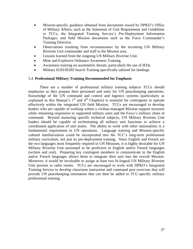- Mission-specific guidance obtained from documents issued by DPKO's Office of Military Affairs, such as the Statement of Unit Requirement and Guidelines to TCCs; the Integrated Training Service's Pre-Deployment Information Packages; and field Mission documents such as the Force Commander's Training Directive.
- Observations resulting from reconnaissance by the incoming UN Military Riverine Unit commander and staff to the Mission area.
- Lessons learned from the outgoing UN Military Riverine Unit.
- Mine and Explosive Ordnance Awareness Training.
- Awareness training on asymmetric threats, particularly the use of IEDs.
- Military EOD/IEDD Search Training specifically tailored for landings.

### 5.4 **Professional Military Training Recommended for Emphasis**

There are a number of professional military training subjects TCCs should emphasize as they prepare their personnel and units for UN peacekeeping operations. Knowledge of the UN command and control and logistics systems (particularly as explained in this Manual's  $1<sup>st</sup>$  and  $4<sup>th</sup>$  Chapters) is essential for contingents to operate effectively within the integrated UN field Mission. TCCs are encouraged to develop leaders who are capable of working within a civilian-managed Mission support structure while remaining responsive to supported military units and the Force's military chain of command. Beyond mastering specific technical subjects, UN Military Riverine Unit leaders should be capable of orchestrating all military unit functions to achieve a coordinated application of unit assets. The ability to work with other nationalities is a fundamental requirement in UN operations. Language training and Mission-specific cultural familiarization could be incorporated into the TCC's long-term professional military curriculum, not just its pre-deployment training. Since English and French are the two languages most frequently required in UN Missions, it is highly desirable for UN Military Riverine Unit personnel to be proficient in English and/or French languages (written and oral). Preparing key contingent members to communicate in the English and/or French languages allows them to integrate their unit into the overall Mission. Moreover, it would be invaluable to assign at least two bi-lingual UN Military Riverine Unit persons to radio rooms. TCCs are encouraged to work with DPKO's Integrated Training Service to develop classroom instruction and command post exercises that will provide UN peacekeeping orientation that can then be added to TCC-specific military professional training.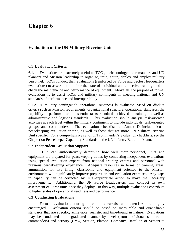# **Chapter 6**

## **Evaluation of the UN Military Riverine Unit**

#### 6.1 **Evaluation Criteria**

6.1.1 Evaluations are extremely useful to TCCs, their contingent commanders and UN planners and Mission leadership to organize, train, equip, deploy and employ military personnel. TCCs conduct their evaluations (reinforced by Force and Sector Headquarters evaluations) to assess and monitor the state of individual and collective training, and to check the maintenance and performance of equipment. Above all, the purpose of formal evaluations is to assist TCCs and military contingents in meeting national and UN standards of performance and interoperability.

6.1.2 A military contingent's operational readiness is evaluated based on distinct criteria such as Mission requirements, organizational structure, operational standards, the capability to perform mission essential tasks, standards achieved in training, as well as administrative and logistics standards. This evaluation should analyse task-oriented activities at each level within the military contingent to include individuals, task-oriented groups and commanders. The evaluation checklists at Annex D include broad peacekeeping evaluation criteria, as well as those that are more UN Military Riverine Unit specific. For a comprehensive set of UN commander's evaluation checklists, see the Chapter on Peacekeeper Capability Standards in the UN Infantry Battalion Manual.

#### 6.2 **Independent Evaluation Support**

TCCs can authoritatively determine how well their personnel, units and equipment are prepared for peacekeeping duties by conducting independent evaluations using special evaluation experts from national training centres and personnel with previous peacekeeping experience. Adequate resources in terms of training areas, ammunition for live firing, classrooms and equipment oriented to the Mission environment will significantly improve preparation and evaluation exercises. Any gaps in capability can be corrected by TCC-appropriate action to make the necessary improvements. Additionally, the UN Force Headquarters will conduct its own assessment of Force units once they deploy. In this way, multiple evaluations contribute to higher states of operational readiness and performance.

### 6.3 **Conducting Evaluations**

Formal evaluations during mission rehearsals and exercises are highly encouraged. Evaluation criteria should be based on measurable and quantifiable standards that are specific, achievable, realistic and time-bound in nature. Evaluations may be conducted in a graduated manner by level (from individual soldiers to commanders) and activity (Crew, Section, Platoon, Company, Battalion or Sector) to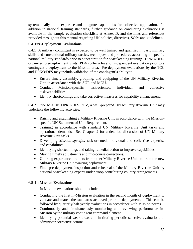systematically build expertise and integrate capabilities for collective application. In addition to national training standards, further guidance on conducting evaluations is available in the sample evaluation checklists at Annex D, and the links and references provided throughout this manual regarding UN policies, directives, SOPs and guidelines.

## 6.4 **Pre-Deployment Evaluations**

6.4.1A military contingent is expected to be well trained and qualified in basic military skills and conventional military tactics, techniques and procedures according to specific national military standards prior to concentration for peacekeeping training. DPKO/DFSorganized pre-deployment visits (PDV) offer a level of independent evaluation prior to a contingent's deployment to the Mission area. Pre-deployment evaluations by the TCC and DPKO/DFS may include validation of the contingent's ability to:

- Ensure timely assembly, grouping, and equipping of the UN Military Riverine Unit in accordance with the SUR and MOU.
- Conduct Mission-specific, task-oriented, individual and collective tasks/capabilities.
- Identify shortcomings and take corrective measures for capability enhancement.

6.4.2 Prior to a UN DPKO/DFS PDV, a well-prepared UN Military Riverine Unit may undertake the following activities:

- Raising and establishing a Military Riverine Unit in accordance with the Missionspecific UN Statement of Unit Requirement.
- Training in accordance with standard UN Military Riverine Unit tasks and operational demands. See Chapter 2 for a detailed discussion of UN Military Riverine Unit tasks.
- Developing *Mission-specific*, task-oriented, individual and collective expertise and capabilities.
- Identifying shortcomings and taking remedial action to improve capabilities.
- Making timely adjustments and mid-course corrections.
- Utilizing experienced trainers from other Military Riverine Units to train the new Military Riverine Unit awaiting deployment.
- Final pre-deployment inspection and rehearsal of the Military Riverine Unit by national peacekeeping experts under troop contributing country arrangements.

## 6.5 **In-Mission Evaluations**

In-Mission evaluations should include:

- Conducting the first in-Mission evaluation in the second month of deployment to validate and match the standards achieved prior to deployment. This can be followed by quarterly/half yearly evaluations in accordance with Mission norms.
- Continuously and simultaneously monitoring and reviewing performance in-Mission by the military contingent command element.
- Identifying potential weak areas and instituting periodic selective evaluations to administer corrective actions.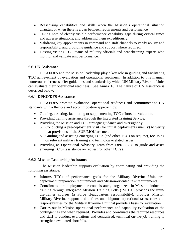- Reassessing capabilities and skills when the Mission's operational situation changes, or when there is a gap between requirements and performance.
- Taking note of clearly visible performance capability gaps during critical times and adverse situations, and addressing them expeditiously.
- Validating key appointments in command and staff channels to verify ability and responsibility, and providing guidance and support where required.
- Hosting visiting TCC teams of military officials and peacekeeping experts who monitor and validate unit performance.

## 6.6 **UN Assistance**

DPKO/DFS and the Mission leadership play a key role in guiding and facilitating TCC achievement of evaluation and operational readiness. In addition to this manual, numerous references offer guidelines and standards by which UN Military Riverine Units can evaluate their operational readiness. See Annex E. The nature of UN assistance is described below:

## 6.6.1 **DPKO/DFS Assistance**

DPKO/DFS promote evaluation, operational readiness and commitment to UN standards with a flexible and accommodative approach by:

- Guiding, assisting, facilitating or supplementing TCC efforts in evaluation.
- Providing training assistance through the Integrated Training Service.
- Providing the Mission and TCC strategic guidance and oversight by:
	- o Conducting a pre-deployment visit (for initial deployments mainly) to verify that provisions of the SUR/MOU are met.
	- o Guiding and assisting emerging TCCs (and other TCCs on request), focussing on relevant military training and technology-related issues.
- Providing an Operational Advisory Team from DPKO/DFS to guide and assist emerging TCCs (assistance on request for other TCCs).

## 6.6.2 **Mission Leadership Assistance**

The Mission leadership supports evaluation by coordinating and providing the following assistance:

- Informs TCCs of performance goals for the Military Riverine Unit, predeployment preparation requirements and Mission-oriented task requirements.
- Coordinates pre-deployment reconnaissance, organizes in-Mission induction training through Integrated Mission Training Cells (IMTCs), provides the trainthe-trainer courses (a Force Headquarters responsibility), provides Mission Military Riverine support and defines unambiguous operational tasks, roles and responsibilities for the Military Riverine Unit that provide a basis for evaluation.
- Carries out in-Mission operational performance and capability evaluation of the contingent as and when required. Provides and coordinates the required resources and staff to conduct evaluations and centralized, technical on-the-job training to strengthen evaluated shortfalls.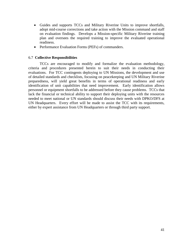- Guides and supports TCCs and Military Riverine Units to improve shortfalls, adopt mid-course corrections and take action with the Mission command and staff on evaluation findings. Develops a Mission-specific Military Riverine training plan and oversees the required training to improve the evaluated operational readiness.
- Performance Evaluation Forms (PEFs) of commanders.

### 6.7 **Collective Responsibilities**

TCCs are encouraged to modify and formalize the evaluation methodology, criteria and procedures presented herein to suit their needs in conducting their evaluations. For TCC contingents deploying to UN Missions, the development and use of detailed standards and checklists, focusing on peacekeeping and UN Military Riverine preparedness, will yield great benefits in terms of operational readiness and early identification of unit capabilities that need improvement. Early identification allows personnel or equipment shortfalls to be addressed before they cause problems. TCCs that lack the financial or technical ability to support their deploying units with the resources needed to meet national or UN standards should discuss their needs with DPKO/DFS at UN Headquarters. Every effort will be made to assist the TCC with its requirements, either by expert assistance from UN Headquarters or through third party support.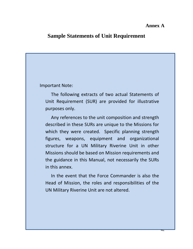## **Annex A**

## **Sample Statements of Unit Requirement**

## Important Note:

The following extracts of two actual Statements of Unit Requirement (SUR) are provided for illustrative purposes only.

Any references to the unit composition and strength described in these SURs are unique to the Missions for which they were created. Specific planning strength figures, weapons, equipment and organizational structure for a UN Military Riverine Unit in other Missions should be based on Mission requirements and the guidance in this Manual, not necessarily the SURs in this annex.

In the event that the Force Commander is also the Head of Mission, the roles and responsibilities of the UN Military Riverine Unit are not altered.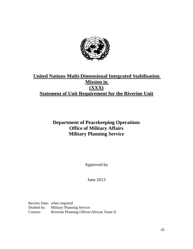

# **United Nations Multi-Dimensional Integrated Stabilisation Mission in (XXX) Statement of Unit Requirement for the Riverine Unit**

# **Department of Peacekeeping Operations Office of Military Affairs Military Planning Service**

Approved by

June 2013

Review Date: when required Drafted by: Military Planning Service Contact: Riverine Planning Officer/African Team II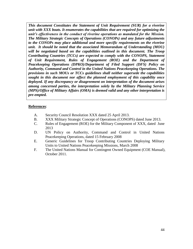*This document Constitutes the Statement of Unit Requirement (SUR) for a riverine unit with XXX boats. It enumerates the capabilities that are required for optimizing the unit's effectiveness in the conduct of riverine operations as mandated for the Mission. The Military Strategic Concepts of Operations (CONOPs) and any future adjustments to the CONOPs may place additional and more specific requirements on the riverine unit. It should be noted that the associated Memorandum of Understanding (MOU) will be negotiated based on the capabilities outlined in this document. The Troop Contributing Countries (TCCs) are expected to comply with the CONOPS, Statement of Unit Requirement, Rules of Engagement (ROE) and the Department of Peacekeeping Operations (DPKO)/Department of Filed Support (DFS) Policy on Authority, Command and Control in the United Nations Peacekeeping Operations. The provisions in such MOUs or TCCs guidelines shall neither supersede the capabilities sought in this document nor affect the planned employment of this capability once deployed. If any discrepancy or disagreement on interpretation of the document arises among concerned parties, the interpretation solely by the Military Planning Service (MPS)/Office of Military Affairs (OMA) is deemed valid and any other interpretation is pre-empted.* 

### **References**:

- A. Security Council Resolution XXX dated 25 April 2013.
- B. XXX Military Strategic Concept of Operations (CONOPS) dated June 2013.
- C. Rules of Engagement (ROE) for the Military Component of XXX, dated June 2013
- D. UN Policy on Authority, Command and Control in United Nations Peacekeeping Operations, dated 15 February 2008
- E. Generic Guidelines for Troop Contributing Countries Deploying Military Units to United Nations Peacekeeping Missions, March 2008
- F. The United Nations Manual for Contingent Owned Equipment (COE Manual), October 2011.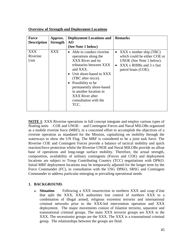| <b>Force</b><br><b>Description</b> | Approx.<br><b>Strength</b> | <b>Deployment Locations and</b><br>AO                                                                                                                                                                                                                                                                                              | <b>Remarks</b>                                                                                                                                               |
|------------------------------------|----------------------------|------------------------------------------------------------------------------------------------------------------------------------------------------------------------------------------------------------------------------------------------------------------------------------------------------------------------------------|--------------------------------------------------------------------------------------------------------------------------------------------------------------|
|                                    |                            | (See Note 1 below)                                                                                                                                                                                                                                                                                                                 |                                                                                                                                                              |
| <b>XXX</b><br>Riverine<br>Unit     | XXX                        | Able to conduct riverine<br>$\bullet$<br>operations along the<br>XXX River and its<br>tributaries between XXX<br>and XXX.<br>Unit shore-based in XXX<br>$\bullet$<br>(TBC after recce).<br>Possibility to be<br>$\bullet$<br>permanently shore-based<br>in another location in<br>XXX River after<br>consultation with the<br>TCC. | • XXX x mother ship (TBC)<br>which could be either COE or<br>UNOE (See Note 1 below).<br>$XXX \times RHIBs$ and 3 x fast<br>$\bullet$<br>patrol boats (COE). |

**Overview of Strength and Deployment Locations**

**NOTE 1**: XXX Riverine operations in full concept integrate and employ various types of floating units –COE and UNOE– and Contingent Forces and Naval MILOBs organized as a mobile riverine force (MRF), in a concerted effort to accomplish the objectives of a riverine operation as mandated for the Mission, capitalizing on mobility through the waterways to show the UN Flag. The MRF is considered to be a joint task force. The Riverine COE and Contingent Forces provide a balance of tactical mobility and quick reaction/force protection whilst the Riverine UNOE and Naval MILOBs provide an afloat base of operations and long-range surface mobility. Therefore, the actual strength, composition, availability of military contingents (Forces and COE) and deployment locations are subject to Troop Contributing Country (TCC) negotiations with DPKO. Initial MRF deployment locations may be temporarily adjusted for the longer term by the Force Commander (FC), in consultation with the USG DPKO, SRSG and Contingent Commander to address particular emerging or prevailing operational needs.

## **1. BACKGROUND.**

a. **Situation** Following a XXX insurrection in northern XXX and coup d'état that split the XXX, XXX authorities lost control of northern XXX to a combination of illegal armed; religious extremist terrorist and international criminal networks prior to the XXX-led intervention operation and XXX deployment. The major movements consist of Islamist terrorist, separatist and transnational criminal groups. The main XXX terrorist groups are XXX in the XXX. The secessionist groups are the XXX. The XXX is a transnational criminal group. The relationships between the groups are fluid.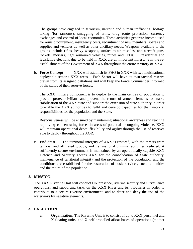The groups have engaged in terrorism, narcotic and human trafficking, hostage taking (for ransoms), smuggling of arms, drug route protection, currency exchanges and control of local economies. These activities generate income used for arms procurement, insurgency costs, recruitment of new members, spares and supplies and vehicles as well as other ancillary needs. Weapons available to the groups include rifles, heavy weapons, surface-to-air missiles, anti-aircraft guns, rockets, mortars, light armoured vehicles, mines and IEDs. Presidential and legislative elections due to be held in XXX are an important milestone in the reestablishment of the Government of XXX throughout the entire territory of XXX.

b. **Force Concept** XXX will establish its FHQ in XXX with two multinational deployable sector / XXX areas. Each Sector will have its own tactical reserve drawn from its assigned battalions and will keep the Force Commander informed of the status of their reserve forces.

The XXX military component is to deploy to the main centres of population to provide protect civilians and prevent the return of armed elements to enable stabilisation of the XXX state and support the extension of state authority in order to enable the XXX authorities to fulfil and develop capacities for their national responsibilities for the population and the State.

Responsiveness will be ensured by maintaining situational awareness and reacting rapidly by concentrating forces in areas of potential or ongoing violence. XXX will maintain operational depth, flexibility and agility through the use of reserves able to deploy throughout the AOR.

c. **End State** The territorial integrity of XXX is restored, with the threats from terrorist and affiliated groups, and transnational criminal activities, reduced. A sufficiently secure environment is maintained by an operationally capable XXX Defence and Security Forces XXX for the consolidation of State authority, maintenance of territorial integrity and the protection of the population; and the conditions are established for the restoration of basic services, social amenities and the return of the population**.**

### **2. MISSION.**

The XXX Riverine Unit will conduct UN presence, riverine security and surveillance operations, and supporting tasks on the XXX River and its tributaries in order to contribute to a secure riverine environment, and to deter and deny the use of the waterways by negative elements.

### **3. EXECUTION**

**a. Organisation.** The Riverine Unit is to consist of up to XXX personnel and X floating units, and X self-propelled afloat bases of operations (mother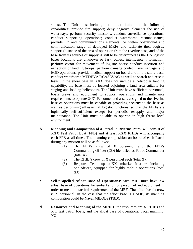ships). The Unit must include, but is not limited to, the following capabilities: provide fire support; deny negative elements the use of waterways; perform security missions; conduct surveillance operations; conduct supporting operations; conduct waterborne reconnaissance; provide C2 and communications elements, be within operational and communication range of deployed MRFs and facilitate their logistic support (distance of the area of operation from the riverine base, and of the base from its sources of supply is still to be determined as the UN logistic bases locations are unknown so far); collect intelligence information; perform escort for movement of logistic boats; conduct insertion and extraction of landing troops; perform damage control, river salvage, and EOD operations; provide medical support on board and in the shore base; conduct waterborne MEDEVAC/CASEVAC as well as search and rescue tasks. If the shore base in XXX does not include a helicopter landing capability, the base must be located adjoining a land area suitable for staging and loading helicopters. The Unit must have sufficient personnel, boats crews and equipment to support operations and maintenance requirements to operate 24/7. Personnel and assets assigned to the riverine base of operations must be capable of providing security to the base as well as performing all essential logistic functions, so that the MRFs are logistically self-sufficient except for periodic resupply and major maintenance. The Unit must be able to operate in high threat level environment.

- **b. Manning and Composition of a Patrol:** a Riverine Patrol will consist of XXX Fast Patrol Boat (FPB) and at least XXX RHIBs will accompany each FPB at all times. The manning composition on board of each Patrol during any mission will be as follows:
	- (1) The FPB's crew of X personnel and the FPB's Commanding Officer (CO) identified as Patrol Commander (total X).
	- (2) The RHIB's crew of X personnel each (total X).
	- (3) Response Team: up to XX embarked Marines, including one officer, equipped for highly mobile operations (total XX).
- **c. Self-propelled Afloat Base of Operations**: each MRF must have XX afloat base of operations for embarkation of personnel and equipment in order to meet the tactical requirement of the MRF. The afloat base's crew is X personnel. In the case that the afloat base is UNOE, its manning composition could be Naval MILOBs (TBD).
- **d. Resources and Manning of the MRF 1**: the resources are X RHIBs and X x fast patrol boats, and the afloat base of operations. Total manning: XX.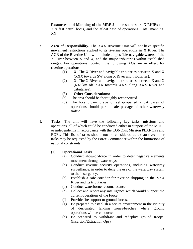**Resources and Manning of the MRF 2**: the resources are X RHIBs and X x fast patrol boats, and the afloat base of operations. Total manning: XX.

- **e. Area of Responsibility.** The XXX Riverine Unit will not have specific movement restrictions applied to its riverine operations in X River. The AOR of the Riverine Unit will include all possible navigable waters of the X River between X and X, and the major tributaries within established ranges. For operational control, the following AOs are in effect for riverine operations:
	- (1) **X:** The X River and navigable tributaries between X and X (XXX towards SW along X River and tributaries).
	- (2) **X:** The X River and navigable tributaries between X and X (692 km off XXX towards XXX along XXX River and tributaries).
	- (3) **Other Considerations:**
	- (a) The area should be thoroughly reconnoitred.
	- (b) The location/anchorage of self-propelled afloat bases of operations should permit safe passage of other waterway traffic.
- **f. Tasks.** The unit will have the following key tasks, missions and operations, all of which could be conducted either in support of the MDSF or independently in accordance with the CONOPs, Mission PLANOPs and ROEs. This list of tasks should not be considered as exhaustive; other tasks may be requested by the Force Commander within the limitations of national constraints:

## (1) **Operational Tasks:**

- (a) Conduct show-of-force in order to deter negative elements movement through waterways.
- (b) Conduct riverine security operations, including waterway surveillance, in order to deny the use of the waterway system to the insurgency.
- (c) Establish a safe corridor for riverine shipping in the XXX River and its tributaries.
- (d) Conduct waterborne reconnaissance.
- (e) Collect and report any intelligence which would support the current operations of the Force.
- (f) Provide fire support to ground forces.
- (g) Be prepared to establish a secure environment in the vicinity of designated landing zones/beaches where ground operations will be conducted.
- (h) Be prepared to withdraw and redeploy ground troops. (Insertion/Extraction Ops)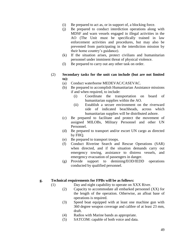- (i) Be prepared to act as, or in support of, a blocking force.
- (j) Be prepared to conduct interdiction operations along with MDSF and warn vessels engaged in illegal activities in the AO (The Unit must be specifically trained in law enforcement activities and procedures, but may also be prevented from participating in the interdiction mission by their home country's guidance).
- (k) If the situation arises, protect civilians and humanitarian personnel under imminent threat of physical violence.
- (l) Be prepared to carry out any other task on order.
- (2) **Secondary tasks for the unit can include (but are not limited to):**
	- (a) Conduct waterborne MEDEVAC/CASEVAC.
	- (b) Be prepared to accomplish Humanitarian Assistance missions if and when required, to include:
		- (i) Coordinate the transportation on board of humanitarian supplies within the AO.
		- (ii) Establish a secure environment on the riverward side of indicated beachheads, across which humanitarian supplies will be distributed ashore.
	- (c) Be prepared to facilitate and protect the movement of assigned MILOBs, Military Personnel and other UN Personnel.
	- (d) Be prepared to transport and/or escort UN cargo as directed by FHQ.
	- (e) Be prepared to transport troops.
	- (f) Conduct Riverine Search and Rescue Operations (SAR) when directed, and if the situation demands carry out emergency towing, assistance to distress vessels, and emergency evacuation of passengers in danger.
	- (g) Provide support to demining/EOD/IEDD operations conducted by qualified personnel.

### **g. Technical requirements for FPBs will be as follows:**

- (1) Day and night capability to operate on XXX River.
	- (2) Capacity to accommodate all embarked personnel (XX) for the length of the operation. Otherwise, an afloat base of operations is required.
	- (3) Speed boat equipped with at least one machine gun with 360 degree weapon coverage and calibre of at least 23 mm, draft.
	- (4) Radios with Marine bands as appropriate.
	- (5) SATCOM: capable of both voice and data.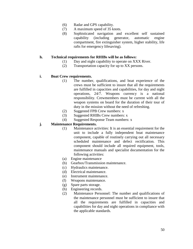- (6) Radar and GPS capability.
- (7) A maximum speed of 35 knots.
- (8) Sophisticated navigation and excellent self sustained capability (including generator, automatic engine compartment, fire extinguisher system, higher stability, life rafts for emergency lifesaving).

### **h. Technical requirements for RHIBs will be as follows:**

- (1) Day and night capability to operate on XXX River.
- (2) Transportation capacity for up to XX persons.

### **i. Boat Crew requirements.**

- (1) The number, qualifications, and boat experience of the crews must be sufficient to insure that all the requirements are fulfilled in capacities and capabilities, for day and night operations, 24/7. Weapons currency is a national responsibility. Crewmembers must be current with all the weapon systems on board for the duration of their tour of duty in the mission without the need of refreshing.
- (2) Suggested FPB Crew numbers: x
- (3) Suggested RHIBs Crew numbers: x
- (4) Suggested Response Team numbers: x

### **j. Maintenance Requirements.**

- (1) Maintenance activities: It is an essential requirement for the unit to include a fully independent boat maintenance component, capable of routinely carrying out all necessary scheduled maintenance and defect rectification. This component should include all required equipment, tools, maintenance manuals and specialist documentation for the following activities:
- (a) Engine maintenance
- (b) Gearbox/Transmission maintenance.
- (c) Hydraulics maintenance.
- (d) Electrical maintenance.
- (e) Instrument maintenance.
- (f) Weapons maintenance.
- (g) Spare parts storage.
- (h) Engineering records.
- (2) Maintenance Personnel: The number and qualifications of the maintenance personnel must be sufficient to insure that all the requirements are fulfilled in capacities and capabilities for day and night operations in compliance with the applicable standards.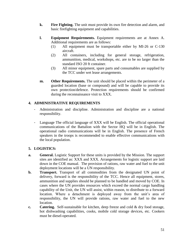- **k. Fire Fighting.** The unit must provide its own fire detection and alarm, and basic firefighting equipment and capabilities.
- **l. Equipment Requirements.** Equipment requirements are at Annex A. Additional requirements are as follows:
	- (1) All equipment must be transportable either by MI-26 or C-130 aircraft.
	- (2) All containers, including for general storage, refrigeration, ammunition, medical, workshops, etc. are to be no larger than the standard ISO 20 ft container.
	- (3) All minor equipment, spare parts and consumables are supplied by the TCC under wet lease arrangements.
- **m. Other Requirements.** The unit should be placed within the perimeter of a guarded location (base or compound) and will be capable to provide its own protection/defence. Protection requirements should be confirmed during the reconnaissance visit to XXX.

## **4. ADMINISTRATIVE REQUIREMENTS**

- Administration and discipline. Administration and discipline are a national responsibility.
- Language The official language of XXX will be English. The official operational communications of the Battalion with the Sector HQ will be in English. The operational radio communications will be in English. The presence of French speakers in the troops is recommended to enable effective communications with the local population.

## **5. LOGISTICS:**

- **a. General.** Logistic Support for these units is provided by the Mission. The support sites are identified as: XXX and XXX. Arrangements for logistic support are laid down in the COE manual. The provision of rations, raw water and fuel to the unit deployment locations will be a UN responsibility.
- **b. Transport.** Transport of all commodities from the designated UN point of delivery, forward is the responsibility of the TCC. Hence all equipment, stores, ammunition and supplies should be planned to be handled and moved by COE. In cases where the UN provides resources which exceed the normal cargo handling capability of the Unit, the UN will assist, within reason, to distribute to a forward location. Where a detachment is deployed away from the unit's area of responsibility, the UN will provide rations, raw water and fuel to the new location.
- **c. Catering.** Self-sustainable for kitchen, deep freeze and cold & dry food storage, hot dishwashing capabilities, cooks, mobile cold storage devices, etc. Cookers must be diesel-operated.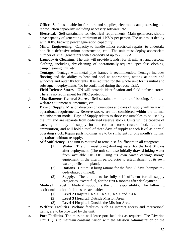- **d. Office.** Self-sustainable for furniture and supplies, electronic data processing and reproduction capability including necessary software, etc.
- **e. Electrical.** Self-sustainable for electrical requirements. Main generators should have capacity of generating minimum of 1 KVA per person. The unit must deploy with 100% back-up power generation capability.
- **f. Minor Engineering.** Capacity to handle minor electrical repairs, to undertake non-field defensive minor construction, etc. The unit must deploy appropriate number of small generators with a capacity of up to 20 KVA.
- **g. Laundry & Cleaning.** The unit will provide laundry for all military and personal clothing, including dry-cleaning of operationally-required specialist clothing, camp cleaning unit, etc.
- **h. Tentage.** Tentage with metal pipe frames is recommended. Tentage includes flooring and the ability to heat and cool as appropriate, netting at doors and windows and outer fly for tents. It is required for the whole unit for its initial and subsequent deployments (To be confirmed during the recce visit).
- **i. Field Defense Stores.** UN will provide identification and field defense stores. There is no requirement for NBC protection.
- **j. Miscellaneous General Stores.** Self-sustainable in terms of bedding, furniture, welfare equipment & amenities, etc.
- **k. Days of Supply**. Mission direction on quantities and days of supply will vary with operational requirements. Reserve stocks are not considered within the normal replenishment model. Days of Supply relates to those consumables to be used by the unit and are separate from dedicated reserve stocks. Units will be capable of carrying one day of supply for all combat stores (water, food, fuel and ammunition) and will hold a total of three days of supply at each level as normal operating stock. Repair parts holdings are to be sufficient for one month's normal operations without resupply.
- **l. Self Sufficiency.** The unit is required to remain self-sufficient in all categories.
	- (1) **Water.** The unit must bring drinking water for the first 30 days after deployment. (The unit can also initially draw drinking water from available UNCOE using its own water carriage/storage equipment, in the interim period prior to establishment of its own water purification plant).
	- (2) **Rations.** Unit must bring rations for the first 30 days (composite / de-hydrated / tinned).
	- (3) **Supply.** The unit is to be fully self-sufficient for all supply categories, except fuel, for the first 6 months after deployment.
- **m. Medical.** Level 1 Medical support is the unit responsibility. The following additional medical facilities are available:
	- (1) **Level 2 Hospital**. XXX , XXX, XXX and XXX.
	- (2) **Level 3 Hospital**. Outside Mission Area.
	- (3) **Level 4 Hospital**. Outside the Mission Area.
- **n. Welfare Facilities**. Welfare facilities, such as internet access and recreational items, are to be provided by the unit.
- **o. Port Facilities**. The mission will lease port facilities as required. The Riverine Unit HQ is to maintain constant liaison with the Mission Administration on the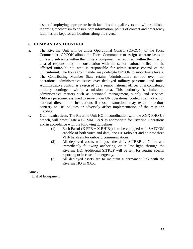issue of employing appropriate berth facilities along all rivers and will establish a reporting mechanism to ensure port information, points of contact and emergency facilities are kept for all locations along the rivers.

## **6. COMMAND AND CONTROL**

- a. The Riverine Unit will be under Operational Control (OPCON) of the Force Commander. OPCON allows the Force Commander to assign separate tasks to units and sub units within the military component, as required, within the mission area of responsibility, in consultation with the senior national officer of the affected unit/sub-unit, who is responsible for administrative control of the unit/sub-unit. The Force Commander may delegate OPCON to subordinate levels.
- b. The Contributing Member State retains 'administrative control' over nonoperational administrative issues over deployed military personnel and units. Administrative control is exercised by a senior national officer of a contributed military contingent within a mission area. This authority is limited to administrative matters such as personnel management, supply and services. Military personnel assigned to serve under UN operational control shall not act on national direction or instructions if those instructions may result in actions contrary to UN policies or adversely affect implementation of the mission's mandate.
- c. **Communications.** The Riverine Unit HQ in coordination with the XXX FHQ U6 branch, will promulgate a COMMPLAN as appropriate for Riverine Operations and in accordance with the following guidelines:
	- (1) Each Patrol  $(X FPB + X RHIBs)$  is to be equipped with SATCOM capable of both voice and data, one HF radio set and at least three VHF handsets for onboard communications
	- (2) All deployed assets will pass the daily SITREP at X hrs and immediately following anchoring, or at last light, through the Riverine HQ. Additional SITREP will be sent for routine special reporting or in case of emergency.
	- (3) All deployed assets are to maintain a permanent link with the Riverine HQ in XXX.

Annex:

List of Equipment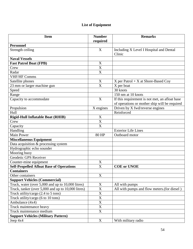# **List of Equipment**

| <b>Item</b>                                        | <b>Number</b>             | <b>Remarks</b>                                    |
|----------------------------------------------------|---------------------------|---------------------------------------------------|
| <b>Personnel</b>                                   | required                  |                                                   |
| Strength ceiling                                   | X                         | Including X Level I Hospital and Dental<br>Clinic |
| <b>Naval Vessels</b>                               |                           |                                                   |
| <b>Fast Patrol Boat (FPB)</b>                      | X                         |                                                   |
| Crew                                               | X                         |                                                   |
| Radar                                              | X                         |                                                   |
| <b>VHF/HF Comms</b>                                |                           |                                                   |
| Satellite phones                                   | X                         | X per Patrol $+ X$ at Shore-Based Coy             |
| $\overline{23}$ mm or larger machine gun           | $\overline{\mathrm{X}}$   | X per boat                                        |
| Speed                                              |                           | 30 knots                                          |
| Range                                              |                           | 150 nm at 10 knots                                |
| Capacity to accommodate                            | $\boldsymbol{\mathrm{X}}$ | If this requirement is not met, an afloat base    |
|                                                    |                           | of operations or mother ship will be required     |
| Propulsion                                         | $X$ engines               | Driven by X fwd/reverse engines                   |
| Hull                                               |                           | Reinforced                                        |
| <b>Rigid-Hull Inflatable Boat (RHIB)</b>           | X                         |                                                   |
| Crew                                               | X                         |                                                   |
| Capacity                                           | X                         |                                                   |
| Handling                                           |                           | <b>Exterior Life Lines</b>                        |
| <b>Main Power</b>                                  | 80 HP                     | Outboard motor                                    |
| <b>Miscellaneous Equipment</b>                     |                           |                                                   |
| Data acquisition & processing system               |                           |                                                   |
| Hydrographic echo sounder                          |                           |                                                   |
| Mooring buoy                                       |                           |                                                   |
| Geodetic GPS Receiver                              |                           |                                                   |
| Counter-mine equipment                             | $\mathbf X$               |                                                   |
| <b>Self-Propelled Afloat Base of Operations</b>    | $\overline{\text{X}}$     | <b>COE</b> or UNOE                                |
| <b>Containers</b>                                  |                           |                                                   |
| Other containers                                   | $\boldsymbol{\mathrm{X}}$ |                                                   |
| <b>Support Vehicles (Commercial)</b>               |                           |                                                   |
| Truck, water (over 5,000 and up to 10,000 litres)  | $\mathbf X$               | All with pumps                                    |
| Truck, tanker (over 5,000 and up to 10,000 litres) | X                         | All with pumps and flow meters.(for diesel)       |
| Truck utility/cargo (2.4 to 5 tons)                | $\overline{X}$            |                                                   |
| Truck utility/cargo (6 to 10 tons)                 | $\overline{X}$            |                                                   |
| Ambulance (4x4)                                    | $\overline{X}$            |                                                   |
| Truck maintenance heavy                            | $\overline{\text{X}}$     |                                                   |
| Truck maintenance medium                           | $\mathbf X$               |                                                   |
| <b>Support Vehicles (Military Pattern)</b>         |                           |                                                   |
| Jeep $4x4$                                         | $\mathbf X$               | With military radio                               |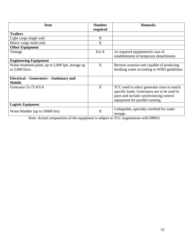| <b>Item</b>                                        | <b>Number</b> | <b>Remarks</b>                               |
|----------------------------------------------------|---------------|----------------------------------------------|
| <b>Trailers</b>                                    | required      |                                              |
|                                                    |               |                                              |
| Light cargo single axle                            | X             |                                              |
| Heavy cargo multi axle                             | X             |                                              |
| <b>Other Equipment</b>                             |               |                                              |
| Tentage                                            | For $X$       | As required equipment/in case of             |
|                                                    |               | establishment of temporary detachments       |
| <b>Engineering Equipment</b>                       |               |                                              |
| Water treatment plant, up to 2,000 lph, storage up | X             | Reverse osmosis unit capable of producing    |
| to 5,000 litres                                    |               | drinking water according to WHO guidelines   |
|                                                    |               |                                              |
| Electrical – Generators – Stationary and           |               |                                              |
| <b>Mobile</b>                                      |               |                                              |
| Generator 51-75 KVA                                | X             | TCC need to select generator sizes to match  |
|                                                    |               | specific loads. Generators are to be used in |
|                                                    |               | pairs and include synchronizing control      |
|                                                    |               | equipment for parallel running.              |
|                                                    |               |                                              |
| <b>Logistic Equipment</b>                          |               |                                              |
| Water Bladder (up to 10000 ltrs)                   | X             | Collapsible, specially certified for water   |
|                                                    |               | storage.                                     |

Note: Actual composition of the equipment is subject to TCC negotiations with DPKO.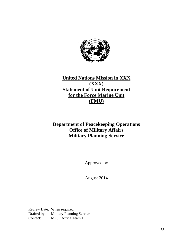

# **United Nations Mission in XXX (XXX) <u>Statement of Unit Requirement</u> for the Force Marine Unit (FMU)**

# **Department of Peacekeeping Operations Office of Military Affairs Military Planning Service**

Approved by

August 2014

Review Date: When required Drafted by: Military Planning Service Contact: MPS / Africa Team I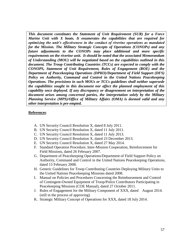*This document constitutes the Statement of Unit Requirement (SUR) for a Force Marine Unit with X boats. It enumerates the capabilities that are required for optimizing the unit's effectiveness in the conduct of riverine operations as mandated for the Mission. The Military Strategic Concepts of Operations (CONOPs) and any future adjustments to the CONOPs may place additional and more specific requirements on the riverine unit. It should be noted that the associated Memorandum of Understanding (MOU) will be negotiated based on the capabilities outlined in this document. The Troop Contributing Countries (TCCs) are expected to comply with the CONOPS, Statement of Unit Requirement, Rules of Engagement (ROE) and the Department of Peacekeeping Operations (DPKO)/Department of Field Support (DFS) Policy on Authority, Command and Control in the United Nations Peacekeeping Operations. The provisions in such MOUs or TCCs guidelines shall neither supersede the capabilities sought in this document nor affect the planned employment of this capability once deployed. If any discrepancy or disagreement on interpretation of the document arises among concerned parties, the interpretation solely by the Military Planning Service (MPS)/Office of Military Affairs (OMA) is deemed valid and any other interpretation is pre-empted.* 

### **References**:

- A. UN Security Council Resolution X, dated 8 July 2011.
- B. UN Security Council Resolution X, dated 11 July 2011.
- C. UN Security Council Resolution X, dated 11 July 2013.
- D. UN Security Council Resolution X, dated 23 December 2013.
- E. UN Security Council Resolution X, dated 27 May 2014.
- F. Standard Operation Procedure, Inter-Mission Cooperation, Reinforcement for Field Missions, dated 26 February 2007.
- G. Department of Peacekeeping Operations/Department of Field Support Policy on Authority, Command and Control in the United Nations Peacekeeping Operations, dated 15 February 2008.
- H. Generic Guidelines for Troop Contributing Countries Deploying Military Units to the United Nations Peacekeeping Missions dated 2008.
- I. Manual on Policies and Procedures Concerning the Reimbursement and Control of Contingent-Owned Equipment of Troop/Police Contributors Participating in Peacekeeping Missions (COE Manual), dated 27 October 2011.
- J. Rules of Engagement for the Military Component of XXX, dated August 2014. (still in the process of approving)
- K. Strategic Military Concept of Operations for XXX, dated 18 July 2014.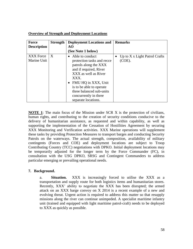| <b>Force</b>             | <b>Strength</b> | <b>Deployment Locations and</b>                                                                                                                                                                                                                                 | <b>Remarks</b>                                      |
|--------------------------|-----------------|-----------------------------------------------------------------------------------------------------------------------------------------------------------------------------------------------------------------------------------------------------------------|-----------------------------------------------------|
| <b>Description</b>       |                 | AO                                                                                                                                                                                                                                                              |                                                     |
|                          |                 | (See Note 1 below)                                                                                                                                                                                                                                              |                                                     |
| XXX Force<br>Marine Unit | X               | Able to conduct<br>protection tasks and recce<br>patrols along the XXX<br>and if required, River<br>XXX as well as River<br>XXX.<br>FMU HQ in XXX, Unit<br>is to be able to operate<br>three balanced sub-units<br>concurrently in three<br>separate locations. | • Up to $X \times$ Light Patrol Crafts<br>$(COE)$ . |

## **Overview of Strength and Deployment Locations**

**NOTE 1**: The main focus of the Mission under SCR X is the protection of civilians, human rights, and contributing to the creation of security conditions conducive to the delivery of humanitarian assistance, as requested and within capability, as well as supporting the implementation of the Cessation of Hostilities Agreement by securing XXX Monitoring and Verification activities. XXX Marine operations will supplement these tasks by providing Protection Measures to transport barges and conducting Security Patrols on the waterways. The actual strength, composition, availability of military contingents (Forces and COE) and deployment locations are subject to Troop Contributing Country (TCC) negotiations with DPKO. Initial deployment locations may be temporarily adjusted for the longer term by the Force Commander (FC), in consultation with the USG DPKO, SRSG and Contingent Commanders to address particular emerging or prevailing operational needs.

## **7. Background.**

a. **Situation.** XXX is increasingly forced to utilise the XXX as a transportation and supply route for both logistics items and humanitarian stores. Recently, XXX' ability to negotiate the XXX has been disrupted; the armed attack on an XXX barge convoy on X 2014 is a recent example of a new and evolving threat. Urgent action is required to address this matter so that resupply missions along the river can continue unimpeded. A specialist maritime infantry unit (trained and equipped with light maritime patrol-craft) needs to be deployed to XXX as quickly as possible.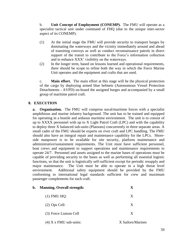b. **Unit Concept of Employment (CONEMP).** The FMU will operate as a specialist tactical unit under command of FHQ (due to the unique inter-sector aspect of its CONEMP).

- (1) At the initial stage the FMU will provide security to transport barges by dominating the waterways and the vicinity immediately around and ahead of transiting convoys as well as conduct reconnaissance patrols in direct support of the transit to contribute to the Force's information collection and to enhance XXX' visibility on the waterways.
- (2) In the longer term, based on lessons learned and operational requirements, there should be scope to refine both the way in which the Force Marine Unit operates and the equipment and crafts that are used.

c. **Main effort.** The main effort at this stage will be the physical protection of the cargo by deploying armed blue helmets (Autonomous Vessel Protection Detachments - AVPD) on-board the assigned barges and accompanied by a small group of maritime patrol craft.

## **8. EXECUTION**

**a. Organisation.** The FMU will comprise naval/maritime forces with a specialist amphibious and marine infantry background. The unit has to be trained and equipped for operating in a hostile and arduous maritime environment. The unit is to consist of up to XXXX personnel with up to X Light Patrol Craft (LPC) and with the capability to deploy three X balanced sub-units (Platoons) concurrently in three separate areas. A small cadre of the FMU should be experts on river craft and LPC handling. The FMU should also have an integral repair and maintenance capability for the LPCs. Shoreside manpower is to be available for site security, platform maintenance and administrative/sustainment requirements. The Unit must have sufficient personnel, boat crews and equipment to support operations and maintenance requirements to operate 24/7. Personnel and assets assigned to the marine bases of operations must be capable of providing security to the bases as well as performing all essential logistic functions, so that the unit is logistically self-sufficient except for periodic resupply and major maintenance. The Unit must be able to operate in a high threat level environment. Additional safety equipment should be provided by the FMU conforming to international legal standards sufficient for crew and maximum passenger complements for each craft.

| b. | <b>Manning. Overall strength:</b> | $\mathbf X$       |
|----|-----------------------------------|-------------------|
|    | $(1)$ FMU HQ:                     | X                 |
|    | $(2)$ Ops Cell:                   | X                 |
|    | (3) Force Liaison Cell            | X                 |
|    | $(4)$ X x FMU sub-units:          | X Sailors/Marines |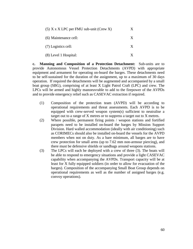| $(5)$ X x X LPC per FMU sub-unit (Crew X) | X |
|-------------------------------------------|---|
| (6) Maintenance cell:                     | X |
| (7) Logistics cell:                       | X |
| (8) Level 1 Hospital:                     |   |

**c. Manning and Composition of a Protection Detachment:** Sub-units are to provide Autonomous Vessel Protection Detachments (AVPD) with appropriate equipment and armament for operating on-board the barges. These detachments need to be self-sustained for the duration of the assignment, up to a maximum of 30 days operation. If required the detachments will be augmented and accompanied by a small boat group (SBG), comprising of at least X Light Patrol Craft (LPC) and crew. The LPCs will be armed and highly manoeuvrable to add to the firepower of the AVPDs and to provide emergency relief such as CASEVAC extraction if required.

- (1) Composition of the protection team (AVPD) will be according to operational requirements and threat assessments. Each AVPD is to be equipped with crew-served weapon system(s) sufficient to neutralise a target out to a range of X metres or to suppress a target out to X metres.
- (2) Where possible, permanent firing points / weapon stations and fortified parapets need to be installed on-board the barges by Mission Support Division. Hard walled accommodation (ideally with air conditioning) such as CORIMECs should also be installed on-board the vessels for the AVPD members when not on duty. As a bare minimum, all barges are to have crew protection for small arms (up to 7.62 mm non-armour piercing), and there must be defensive shields or sandbags around weapons stations.
- (3) The LPCs will each be deployed with a crew of three (3). The boats will be able to respond to emergency situations and provide a light CASEVAC capability when accompanying the AVPDs. Transport capacity will be at least for X fully equipped soldiers (in order to allow for evacuation of the barges). Composition of the accompanying Small Boat Group depends on operational requirements as well as the number of assigned barges (e.g. convoy operations).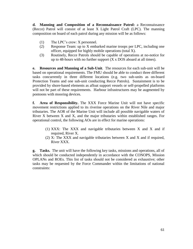**d. Manning and Composition of a Reconnaissance Patrol:** a Reconnaissance (Recce) Patrol will consist of at least X Light Patrol Craft (LPC). The manning composition on board of each patrol during any mission will be as follows:

- (1) The LPC's crew: X personnel.
- (2) Response Team: up to X embarked marine troops per LPC, including one officer, equipped for highly mobile operations (total X).
- (3) Routinely, Recce Patrols should be capable of operations at no-notice for up to 48-hours with no further support  $(X \times DOS)$  aboard at all times).

**e. Resources and Manning of a Sub-Unit**. The resources for each sub-unit will be based on operational requirements. The FMU should be able to conduct three different tasks concurrently in three different locations (e.g. two sub-units as on-board Protection Teams and one sub-unit conducting Recce Patrols). Sustainment is to be provided by shore-based elements as afloat support vessels or self-propelled platforms will not be part of these requirements. Harbour infrastructures may be augmented by pontoons with mooring devices.

**f. Area of Responsibility.** The XXX Force Marine Unit will not have specific movement restrictions applied to its riverine operations on the River Nile and major tributaries. The AOR of the Marine Unit will include all possible navigable waters of River X between X and X, and the major tributaries within established ranges. For operational control, the following AOs are in effect for marine operations:

- (1) XXX: The XXX and navigable tributaries between X and X and if required, River X.
- (2) X: The XXX and navigable tributaries between X and X and if required, River XXX.

**g. Tasks.** The unit will have the following key tasks, missions and operations, all of which should be conducted independently in accordance with the CONOPS, Mission OPLANs and ROEs. This list of tasks should not be considered as exhaustive; other tasks may be requested by the Force Commander within the limitations of national constraints: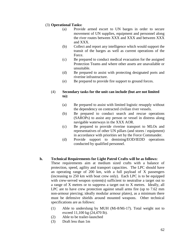## (3) **Operational Tasks:**

- (a) Provide armed escort to UN barges in order to secure movement of UN supplies, equipment and personnel along the river routes between XXX and XXX and between XXX and XXX.
- (b) Collect and report any intelligence which would support the transit of the barges as well as current operations of the Force.
- (c) Be prepared to conduct medical evacuation for the assigned Protection Teams and where other assets are unavailable or unsuitable.
- (d) Be prepared to assist with protecting designated ports and riverine infrastructure.
- (e) Be prepared to provide fire support to ground forces.

## (4) **Secondary tasks for the unit can include (but are not limited to):**

- (a) Be prepared to assist with limited logistic resupply without the dependency on contracted civilian river vessels.
- (b) Be prepared to conduct search and rescue operations (SAROPs) to assist any person or vessel in distress along navigable waterways in the XXX AOR.
- (c) Be prepared to provide riverine transport to MLOs and representatives of other UN pillars (and stores / equipment) in accordance with priorities set by the Force Commander.
- (d) Provide support to demining/EOD/IEDD operations conducted by qualified personnel.

## **h. Technical Requirements for Light Patrol Crafts will be as follows:**

These requirements aim at medium sized crafts with a balance of protection, speed, agility and transport capacities. The LPC should have an operating range of 200 km, with a full payload of X passengers (increasing to 250 km with boat crew only). Each LPC is to be equipped with crew-served weapon system(s) sufficient to neutralise a target out to a range of X metres or to suppress a target out to X metres. Ideally, all LPC are to have crew protection against small arms fire (up to 7.62 mm non-armour piercing; ideally modular armour plates), as a minimum there must be defensive shields around mounted weapons. Other technical specifications are as follows:

- (1) Able to underslung by MUH (Mi-8/Mi-17). Total weight not to exceed 11,100 kg (24,470 lb).
- (2) Able to be trailer-launched
- (3) Draft less than 1m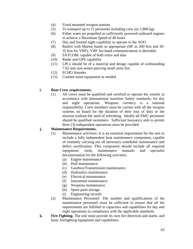- (4) Fixed mounted weapon stations
- (5) To transport up to 15 personnel including crew (or  $1,800 \text{ kg}$ )
- (6) Either water jet propelled or sufficiently powered outboard engines to achieve a Maximum Speed of 40 knots
- (7) Day and limited night capability to operate in the AOO
- (8) Radios with Marine bands as appropriate (HF as 200 Km and 30- 35 Km for VHF); VHF Air-band communications is desirable.
- (9) SATCOM: capable of both voice and data
- (10) Radar and GPS capability
- (11) LPCs should be of a material and design capable of withstanding 7.62 mm non-armor piercing small arms fire.
- (12) ECHO Sounder
- (13) Counter-mine equipment as needed

### **i. Boat Crew requirements.**

(1) All crews must be qualified and certified to operate the vessels in accordance with International maritime Safety standards, for day and night operations. Weapons currency is a national responsibility. Crew members must be current with all the weapon systems on board for the duration of their tour of duty in the mission without the need of refreshing. Ideally all FMU personnel should be qualified swimmers. Sufficient buoyancy aids to permit three (3) independent operations must be provided.

## **j. Maintenance Requirements.**

- (1) Maintenance activities: It is an essential requirement for the unit to include a fully independent boat maintenance component, capable of routinely carrying out all necessary scheduled maintenance and defect rectification. This component should include all required equipment, tools, maintenance manuals and specialist documentation for the following activities:
	- (a) Engine maintenance
	- (b) Hull maintenance.
	- (c) Gearbox/Transmission maintenance.
	- (d) Hydraulics maintenance.
	- (e) Electrical maintenance.
	- (f) Instrument maintenance.
	- (g) Weapons maintenance.
	- (h) Spare parts storage.
	- (i) Engineering records.
- (2) Maintenance Personnel: The number and qualifications of the maintenance personnel must be sufficient to ensure that all the requirements are fulfilled in capacities and capabilities for day and night operations in compliance with the applicable standards.
- **k. Fire Fighting.** The unit must provide its own fire detection and alarm, and basic firefighting equipment and capabilities.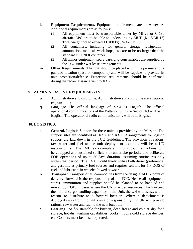- **l. Equipment Requirements.** Equipment requirements are at Annex A. Additional requirements are as follows:
	- (1) All equipment must be transportable either by MI-26 or C-130 aircraft. LPC are to be able to underslung by MUH (Mi-8/Mi-17) Total weight not to exceed 11,100 kg (24,470 lb).
	- (2) All containers, including for general storage, refrigeration, ammunition, medical, workshops, etc. are to be no larger than the standard ISO 20 ft container.
	- (3) All minor equipment, spare parts and consumables are supplied by the TCC under wet lease arrangements.
- **m.** Other Requirements. The unit should be placed within the perimeter of a guarded location (base or compound) and will be capable to provide its own protection/defence. Protection requirements should be confirmed during the reconnaissance visit to XXX.

## **9. ADMINISTRATIVE REQUIREMENTS**

- **p.** Administration and discipline. Administration and discipline are a national responsibility.
- **q.** Language The official language of XXX is English. The official operational communications of the Battalion with the Sector HQ will be in English. The operational radio communications will be in English.

### **10. LOGISTICS:**

- **a. General.** Logistic Support for these units is provided by the Mission. The support sites are identified as: XXX and XXX. Arrangements for logistic support are laid down in the TCC Guidelines. The provision of rations, raw water and fuel to the unit deployment locations will be a UN responsibility. The FMU, as a complete unit or sub-unit squadrons, will be equipped and sustained sufficient to undertake periodic and deliberate FOB operations of up to 30-days duration, assuming routine resupply within that period. The FMU would likely utilise both diesel (preference) and gasoline as primary fuel sources and requires self-lift for 5 x DOS of fuel and lubricants in wheeled/towed bowsers.
- **b. Transport.** Transport of all commodities from the designated UN point of delivery, forward is the responsibility of the TCC. Hence all equipment, stores, ammunition and supplies should be planned to be handled and moved by COE. In cases where the UN provides resources which exceed the normal cargo handling capability of the Unit, the UN will assist, within reason, to distribute to a forward location. Where a detachment is deployed away from the unit's area of responsibility, the UN will provide rations, raw water and fuel to the new location.
- **c. Catering.** Self-sustainable for kitchen, deep freeze and cold & dry food storage, hot dishwashing capabilities, cooks, mobile cold storage devices, etc. Cookers must be diesel-operated.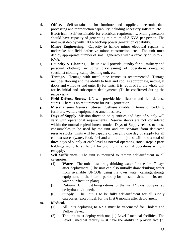- **d. Office.** Self-sustainable for furniture and supplies, electronic data processing and reproduction capability including necessary software, etc.
- **e. Electrical.** Self-sustainable for electrical requirements. Main generators should have capacity of generating minimum of 3 KVA per person. The unit must deploy with 100% back-up power generation capability.
- **f. Minor Engineering.** Capacity to handle minor electrical repairs, to undertake non-field defensive minor construction, etc. The unit must deploy appropriate number of small generators with a capacity of up to 20 KVA.
- **g. Laundry & Cleaning.** The unit will provide laundry for all military and personal clothing, including dry-cleaning of operationally-required specialist clothing, camp cleaning unit, etc.
- **h. Tentage.** Tentage with metal pipe frames is recommended. Tentage includes flooring and the ability to heat and cool as appropriate, netting at doors and windows and outer fly for tents. It is required for the whole unit for its initial and subsequent deployments (To be confirmed during the recce visit).
- **i. Field Defense Stores.** UN will provide identification and field defense stores. There is no requirement for NBC protection.
- **j. Miscellaneous General Stores.** Self-sustainable in terms of bedding, furniture, welfare equipment & amenities, etc.
- **k. Days of Supply**. Mission direction on quantities and days of supply will vary with operational requirements. Reserve stocks are not considered within the normal replenishment model. Days of Supply relates to those consumables to be used by the unit and are separate from dedicated reserve stocks. Units will be capable of carrying one day of supply for all combat stores (water, food, fuel and ammunition) and will hold a total of three days of supply at each level as normal operating stock. Repair parts holdings are to be sufficient for one month's normal operations without resupply.
- **l. Self Sufficiency.** The unit is required to remain self-sufficient in all categories.
	- (4) **Water.** The unit must bring drinking water for the first 7 days after deployment. (The unit can also initially draw drinking water from available UNCOE using its own water carriage/storage equipment, in the interim period prior to establishment of its own water purification plant).
	- (5) **Rations.** Unit must bring rations for the first 14 days (composite / de-hydrated / tinned).
	- (6) **Supply.** The unit is to be fully self-sufficient for all supply categories, except fuel, for the first 6 months after deployment.
- **m. Medical.**
	- (1) All units deploying to XXX must be vaccinated for Cholera and Yellow Fever.
	- (2) The unit must deploy with one (1) Level I medical facilities. The Level I medical facility must have the ability to provide two (2)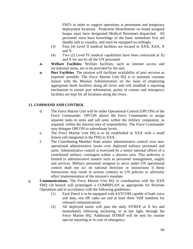FMTs in order to support operations at permanent and temporary deployment locations. Protection Detachments on board assigned barges must have designated Medical Personnel dispatched. All personnel must have knowledge of the basic immediate first aid (buddy aid) to casualty, and must be equipped accordingly.

- (3) Four (4) Level II medical facilities are located in XXX, XXX, X and X.
- (4) Two (2) Level IV medical capabilities have been contracted at X) and X for use by all the UN personnel.
- **n. Welfare Facilities**. Welfare facilities, such as internet access and recreational items, are to be provided by the unit.
- **o. Port Facilities**. The mission will facilitate availability of port services as required/ possible. The Force Marine Unit HQ is to maintain constant liaison with the Mission Administration on the issue of employing appropriate berth facilities along all rivers and will establish a reporting mechanism to ensure port information, points of contact and emergency facilities are kept for all locations along the rivers.

## **11. COMMAND AND CONTROL**

- d. The Force Marine Unit will be under Operational Control (OPCON) of the Force Commander. OPCON allows the Force Commander to assign separate tasks to units and sub units within the military component, as required, within the mission area of responsibility. The Force Commander may delegate OPCON to subordinate levels.
- e. The Force Marine Unit HQ is to be established in XXX with a small liaison cell integrated in the FHQ in XXX.
- f. The Contributing Member State retains 'administrative control' over nonoperational administrative issues over deployed military personnel and units. Administrative control is exercised by a senior national officer of a contributed military contingent within a mission area. This authority is limited to administrative matters such as personnel management, supply and services. Military personnel assigned to serve under UN operational control shall not act on national direction or instructions if those instructions may result in actions contrary to UN policies or adversely affect implementation of the mission's mandate.
- g. **Communications.** The Force Marine Unit HQ in coordination with the XXX FHQ G6 branch will promulgate a COMMPLAN as appropriate for Riverine Operations and in accordance with the following guidelines:
	- (1) Each Patrol is to be equipped with SATCOM capable of both voice and data, one HF radio set and at least three VHF handsets for onboard communications
	- (2) All deployed assets will pass the daily SITREP at X hrs and immediately following anchoring, or at last light, through the Force Marine HQ. Additional SITREP will be sent for routine special reporting or in case of emergency.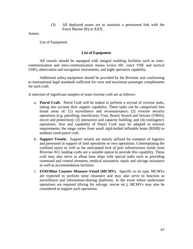(3) All deployed assets are to maintain a permanent link with the Force Marine HQ in XXX.

Annex:

List of Equipment

### **List of Equipment**

All vessels should be equipped with integral enabling facilities such as intercommunication and intra-communication means (voice HF, voice VHF and tactical UHF), observation and navigation instruments, and night operation capability.

Additional safety equipment should be provided by the Riverine unit conforming to international legal standards sufficient for crew and maximum passenger complements for each craft.

A selection of significant samples of main riverine craft are as follows:

- a. **Patrol Craft.** Patrol Craft will be tasked to perform a myriad of riverine tasks, taking into account their organic capability. These tasks can be categorized into broad areas of: (1) surveillance and reconnaissance; (2) riverine security operations (e.g. patrolling, interdiction, Visit, Board, Search and Seizure (VBSS), escort and protection); (3) interaction and capacity building; and (4) contingency operations. Size and capability of Patrol Craft may be adapted to mission requirements; the range varies from small rigid-hulled inflatable boats (RHIB) to medium sized patrol craft.
- b. **Support Vessels.** Support vessels are mainly utilized for transport of logistics and personnel in support of land operations or own operations. Contemplating the confined space as well as the anticipated lack of port infrastructure inside most Riverine AO, landing crafts are a suitable option to provide this capability. These craft may also serve as afloat base ships with special tasks such as providing command and control elements, medical assistance, repair and salvage assistance as well as accommodation facilities.
- c. **EOD/Mine Counter Measure Vessel (MCMV).** Specific to its type, MCMVs are expected to perform mine clearance and may also serve to function as surveillance and information-sharing platforms. In the event where underwater operations are required (diving for salvage, rescue etc.), MCMVs may also be considered to support such operations.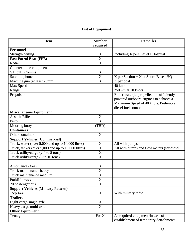## **List of Equipment**

| <b>Item</b>                                            | <b>Number</b><br>required | <b>Remarks</b>                                                             |
|--------------------------------------------------------|---------------------------|----------------------------------------------------------------------------|
| <b>Personnel</b>                                       |                           |                                                                            |
| Strength ceiling                                       | $\boldsymbol{\mathrm{X}}$ | Including X pers Level I Hospital                                          |
| <b>Fast Patrol Boat (FPB)</b>                          | X                         |                                                                            |
| Radar                                                  | X                         |                                                                            |
| Counter-mine equipment                                 |                           |                                                                            |
| <b>VHF/HF Comms</b>                                    | $\mathbf X$               |                                                                            |
| Satellite phones                                       | $\overline{\text{X}}$     | $X$ per Section + X at Shore-Based HQ                                      |
| Machine gun (at least 23mm)                            | X                         | X per boat                                                                 |
| Max Speed                                              |                           | 40 knots                                                                   |
| Range                                                  |                           | 250 nm at 10 knots                                                         |
| Propulsion                                             |                           | Either water jet propelled or sufficiently                                 |
|                                                        |                           | powered outboard engines to achieve a                                      |
|                                                        |                           | Maximum Speed of 40 knots. Preferable                                      |
|                                                        |                           | diesel fuel source.                                                        |
| <b>Miscellaneous Equipment</b>                         |                           |                                                                            |
| <b>Assault Rifle</b>                                   | $\mathbf X$               |                                                                            |
| Pistol                                                 | $\overline{\text{X}}$     |                                                                            |
| Mooring buoy                                           | (TBD)                     |                                                                            |
| <b>Containers</b>                                      |                           |                                                                            |
| Other containers                                       | X                         |                                                                            |
| <b>Support Vehicles (Commercial)</b>                   |                           |                                                                            |
| Truck, water (over 5,000 and up to 10,000 litres)      | X                         | All with pumps                                                             |
| Truck, tanker (over 5,000 and up to 10,000 litres)     | X                         | All with pumps and flow meters.(for diesel)                                |
| Truck utility/cargo $(2.4 \text{ to } 5 \text{ tons})$ | X                         |                                                                            |
| Truck utility/cargo (6 to 10 tons)                     | X                         |                                                                            |
|                                                        |                           |                                                                            |
| Ambulance (4x4)                                        | X                         |                                                                            |
| Truck maintenance heavy                                | X                         |                                                                            |
| Truck maintenance medium                               | X                         |                                                                            |
| Forklift heavy                                         | X                         |                                                                            |
| 20 passenger bus                                       | $\overline{\text{X}}$     |                                                                            |
| <b>Support Vehicles (Military Pattern)</b>             |                           |                                                                            |
| Jeep 4x4                                               | X                         | With military radio                                                        |
| <b>Trailers</b>                                        |                           |                                                                            |
| Light cargo single axle                                | $\mathbf X$               |                                                                            |
| Heavy cargo multi axle                                 | $\overline{X}$            |                                                                            |
| <b>Other Equipment</b>                                 |                           |                                                                            |
| Tentage                                                | For X                     | As required equipment/in case of<br>establishment of temporary detachments |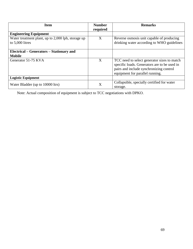| <b>Item</b>                                                           | <b>Number</b><br>required | <b>Remarks</b>                                                                                                                                                            |
|-----------------------------------------------------------------------|---------------------------|---------------------------------------------------------------------------------------------------------------------------------------------------------------------------|
| <b>Engineering Equipment</b>                                          |                           |                                                                                                                                                                           |
| Water treatment plant, up to 2,000 lph, storage up<br>to 5,000 litres | X                         | Reverse osmosis unit capable of producing<br>drinking water according to WHO guidelines                                                                                   |
| Electrical – Generators – Stationary and<br><b>Mobile</b>             |                           |                                                                                                                                                                           |
| Generator 51-75 KVA                                                   | X                         | TCC need to select generator sizes to match<br>specific loads. Generators are to be used in<br>pairs and include synchronizing control<br>equipment for parallel running. |
| <b>Logistic Equipment</b>                                             |                           |                                                                                                                                                                           |
| Water Bladder (up to 10000 ltrs)                                      | X                         | Collapsible, specially certified for water<br>storage.                                                                                                                    |

Note: Actual composition of equipment is subject to TCC negotiations with DPKO.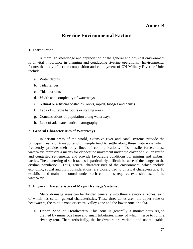## **Annex B**

## **Riverine Environmental Factors**

### **1. Introduction**

A thorough knowledge and appreciation of the general and physical environment is of vital importance in planning and conducting riverine operations. Environmental factors that may affect the composition and employment of UN Military Riverine Units include:

- a. Water depths
- b. Tidal ranges
- c. Tidal currents
- d. Width and complexity of waterways
- e. Natural or artificial obstacles (rocks, rapids, bridges and dams)
- f. Lack of suitable harbours or staging areas
- g. Concentrations of population along waterways
- h. Lack of adequate nautical cartography

#### **2. General Characteristics of Waterways**

In certain areas of the world, extensive river and canal systems provide the principal means of transportation. People tend to settle along these waterways which frequently provide their only lines of communications. To hostile forces, these waterways represent a means for clandestine movement under the cover of civilian traffic and congested settlements, and provide favourable conditions for mining and ambush tactics. The countering of such tactics is particularly difficult because of the danger to the civilian population. Thus, general characteristics of the environment, which include economic, social and civil considerations, are closely tied to physical characteristics. To establish and maintain control under such conditions requires extensive use of the waterways.

#### **3. Physical Characteristics of Major Drainage Systems**

Major drainage areas can be divided generally into three elevational zones, each of which has certain general characteristics. These three zones are: the upper zone or headwaters, the middle zone or central valley zone and the lower zone or delta.

a. **Upper Zone or Headwaters.** This zone is generally a mountainous region drained by numerous large and small tributaries, many of which merge to form a river system. Characteristically, the headwaters are variable and unpredictable.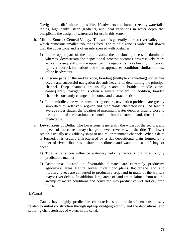Navigation is difficult or impossible. Headwaters are characterized by waterfalls, rapids, high banks, steep gradients, and local variations in water depth that complicate the design of watercraft for use in this zone.

- b. **Middle Zone or Central Valley.** This zone is generally a broad river valley into which numerous smaller tributaries feed. The middle zone is wider and slower than the upper zone and is often interspersed with obstacles.
	- 1) In the upper part of the middle zone, the erosional process is dominant; whereas, downstream the depositional process becomes progressively more active. Consequently, in the upper part, navigation is more heavily influenced by river-bedrock formations and often approaches conditions similar to those of the headwaters.
	- 2) In some parts of the middle zone, braiding (multiple channelling) sometimes occurs and successful navigation depends heavily on determining the principal channel. Deep channels are usually scarce in braided middle zones; consequently, navigation is often a severe problem. In addition, braided channels constantly change their course and characteristics.
	- 3) In the middle zone where meandering occurs, navigation problems are greatly simplified by relatively regular and predictable characteristics. At low to average river stages, the location of maximum water depth is usually close to the location of the maximum channels in braided streams and, thus, is more predictable.
- c. **Lower Zone or Delta.** The lower zone is generally the widest of the sectors, and the speed of the current may change or even reverse with the tide. The lower sector is usually navigable by ships in natural or manmade channels. When a delta is formed, it is usually characterized by a flat depositional plain formed by a number of river tributaries disbursing sediment and water into a gulf, bay, or ocean.
	- 1) Tidal activity con influence waterway velocity radically but in a roughly predictable manner.
	- 2) Delta areas located in favourable climates are extremely productive agricultural areas. Natural levees, river flood plains, flat terrace land, and tributary levees are converted to productive crop land in many of the world´s mayor river deltas. In addition, large areas of land are reclaimed from natural swamp or marsh conditions and converted into productive wet and dry crop fields.

### **4. Canals**

Canals have highly predictable characteristics and retain dimensions closely related to initial construction through upkeep dredging activity and the depositional and scouring characteristics of waters in the canal.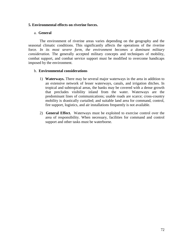### **5. Environmental effects on riverine forces.**

### a. **General**

The environment of riverine areas varies depending on the geography and the seasonal climatic conditions. This significantly affects the operations of the riverine force. *In its most severe form, the environment becomes a dominant military consideration.* The generally accepted military concepts and techniques of mobility, combat support, and combat service support must be modified to overcome handicaps imposed by the environment.

### b. **Environmental considerations**

- 1) **Waterways.** There may be several major waterways in the area in addition to an extensive network of lesser waterways, canals, and irrigation ditches. In tropical and subtropical areas, the banks may be covered with a dense growth that precludes visibility inland from the water. Waterways are the predominant lines of communications; usable roads are scarce; cross-country mobility is drastically curtailed; and suitable land area for command, control, fire support, logistics, and air installations frequently is not available.
- 2) **General Effect.**Waterways must be exploited to exercise control over the area of responsibility. When necessary, facilities for command and control support and other tasks must be waterborne.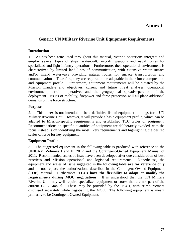### **Annex C**

### **Generic UN Military Riverine Unit Equipment Requirements**

#### **Introduction**

1. As has been articulated throughout this manual, riverine operations integrate and employ several types of ships, watercraft, aircraft, weapons and naval forces for specialized and light infantry operations. Furthermore, their operational environment is characterized by limited land lines of communication, with extensive water surface and/or inland waterways providing natural routes for surface transportation and communications. Therefore, they are required to be adaptable in their force composition and equipment profile. Furthermore, equipment requirements will be dictated by the Mission mandate and objectives, current and future threat analyses, operational environment, terrain imperatives and the geographical spread/separation of the deployment. Issues of mobility, firepower and force protection will all place additional demands on the force structure.

#### **Purpose**

2. This annex is not intended to be a definitive list of equipment holdings for a UN Military Riverine Unit. However, it will provide a basic equipment profile, which can be adapted to Mission-specific requirements and established TCC tables of equipment. Recommendations on specific quantities of equipment are deliberately avoided, with the focus instead is on identifying the most likely requirements and highlighting the desired scales of issue for key equipment.

#### **Equipment Profile**

3. The suggested equipment in the following table is produced with reference to the UNIBAM Volumes I and II, 2012 and the Contingent-Owned Equipment Manual of 2011. Recommended scales of issue have been developed after due consideration of best practices and Mission operational and logistical requirements. Nonetheless, the equipment and scales of issue suggested in the following table **are for reference only** and do not replace the authorizations described in the Contingent-Owned Equipment (COE) Manual. Furthermore, **TCCs have the flexibility to adapt or modify the requirements during MOU negotiations.** It is understood that the UN Military Riverine Unit may well require specialized equipment or stores that are not part of the current COE Manual. These may be provided by the TCCs, with reimbursement discussed separately while negotiating the MOU. The following equipment is meant primarily to be Contingent-Owned Equipment.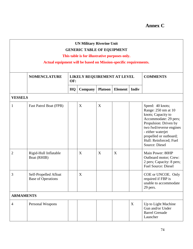| <b>UN Military Riverine Unit</b><br><b>GENERIC TABLE OF EQUIPMENT</b><br>This table is for illustrative purposes only.<br>Actual equipment will be based on Mission-specific requirements. |                                                    |     |                             |                |                |              |                                                                                                                                                                                                                                              |  |
|--------------------------------------------------------------------------------------------------------------------------------------------------------------------------------------------|----------------------------------------------------|-----|-----------------------------|----------------|----------------|--------------|----------------------------------------------------------------------------------------------------------------------------------------------------------------------------------------------------------------------------------------------|--|
|                                                                                                                                                                                            | <b>NOMENCLATURE</b>                                | OF: | LIKELY REQUIREMENT AT LEVEL |                |                |              | <b>COMMENTS</b>                                                                                                                                                                                                                              |  |
|                                                                                                                                                                                            |                                                    | HQ  | Company                     | <b>Platoon</b> | <b>Element</b> | <b>Indiv</b> |                                                                                                                                                                                                                                              |  |
| <b>VESSELS</b>                                                                                                                                                                             |                                                    |     |                             |                |                |              |                                                                                                                                                                                                                                              |  |
| $\mathbf{1}$                                                                                                                                                                               | <b>Fast Patrol Boat (FPB)</b>                      |     | X                           | X              |                |              | Speed: 40 knots;<br>Range: 250 nm at 10<br>knots; Capacity to<br>Accommodate: 29 pers;<br>Propulsion: Driven by<br>two fwd/reverse engines<br>- either waterjet<br>propelled or outboard;<br>Hull: Reinforced; Fuel<br><b>Source: Diesel</b> |  |
| $\overline{2}$                                                                                                                                                                             | Rigid-Hull Inflatable<br>Boat (RHIB)               |     | X                           | X              | X              |              | Main Power: 80HP<br>Outboard motor; Crew:<br>2 pers; Capacity: 8 pers;<br><b>Fuel Source: Diesel</b>                                                                                                                                         |  |
| 3                                                                                                                                                                                          | Self-Propelled Afloat<br><b>Base of Operations</b> |     | X                           |                |                |              | COE or UNCOE. Only<br>required if FBP is<br>unable to accommodate<br>29 pers.                                                                                                                                                                |  |
| <b>ARMAMENTS</b>                                                                                                                                                                           |                                                    |     |                             |                |                |              |                                                                                                                                                                                                                                              |  |
| $\overline{4}$                                                                                                                                                                             | Personal Weapons                                   |     |                             |                |                | X            | Up to Light Machine<br>Gun and/or Under<br><b>Barrel Grenade</b><br>Launcher                                                                                                                                                                 |  |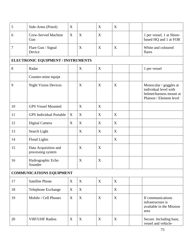| 5  | Side-Arms (Pistol)                        | X |   | X | X |                                                                                                       |  |  |  |  |
|----|-------------------------------------------|---|---|---|---|-------------------------------------------------------------------------------------------------------|--|--|--|--|
| 6  | <b>Crew-Served Machine</b><br>Gun         | X | X | X |   | 1 per vessel, 1 at Shore-<br>based HQ and 1 at FOB                                                    |  |  |  |  |
| 7  | Flare Gun / Signal<br>Device              |   | X | X | X | White and coloured<br>flares                                                                          |  |  |  |  |
|    | ELECTRONIC EQUIPMENT / INSTRUMENTS        |   |   |   |   |                                                                                                       |  |  |  |  |
| 8  | Radar                                     |   | X | X |   | 1 per vessel                                                                                          |  |  |  |  |
|    | Counter-mine equipt                       |   |   |   |   |                                                                                                       |  |  |  |  |
| 9  | <b>Night Vision Devices</b>               |   | X | X | X | Monocular / goggles at<br>individual level with<br>helmet/harness mount at<br>Platoon / Element level |  |  |  |  |
| 10 | <b>GPS Vessel Mounted</b>                 |   | X | X |   |                                                                                                       |  |  |  |  |
| 11 | <b>GPS</b> Individual Portable            | X | X | X | X |                                                                                                       |  |  |  |  |
| 12 | Digital Camera                            | X | X | X | X |                                                                                                       |  |  |  |  |
| 13 | Search Light                              |   | X | X | X |                                                                                                       |  |  |  |  |
| 14 | Flood Lights                              |   |   |   | X |                                                                                                       |  |  |  |  |
| 15 | Data Acquisition and<br>processing system |   | X | X |   |                                                                                                       |  |  |  |  |
| 16 | Hydrographic Echo<br>Sounder              |   | X | X |   |                                                                                                       |  |  |  |  |
|    | <b>COMMUNICATIONS EQUIPMENT</b>           |   |   |   |   |                                                                                                       |  |  |  |  |
| 17 | <b>Satellite Phone</b>                    | X | X | X | X |                                                                                                       |  |  |  |  |
| 18 | Telephone Exchange                        | X | X |   | X |                                                                                                       |  |  |  |  |
| 19 | Mobile / Cell Phones                      | X | X | X | X | If communications<br>infrastructure is<br>available in the Mission<br>area                            |  |  |  |  |
| 20 | <b>VHF/UHF Radios</b>                     | X | X | X | X | Secure. Including base,<br>vessel and vehicle-                                                        |  |  |  |  |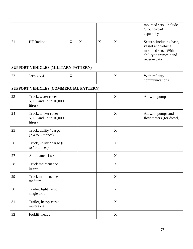|    |                                                                |   |   |   |   | mounted sets. Include<br>Ground-to-Air<br>capability                                                           |
|----|----------------------------------------------------------------|---|---|---|---|----------------------------------------------------------------------------------------------------------------|
| 21 | <b>HF</b> Radios                                               | X | X | X | X | Secure. Including base,<br>vessel and vehicle<br>mounted sets. With<br>ability to transmit and<br>receive data |
|    | SUPPORT VEHICLES (MILITARY PATTERN)                            |   |   |   |   |                                                                                                                |
| 22 | Jeep $4 \times 4$                                              | X |   |   | X | With military<br>communications                                                                                |
|    | SUPPORT VEHICLES (COMMERCIAL PATTERN)                          |   |   |   |   |                                                                                                                |
| 23 | Truck, water (over<br>5,000 and up to 10,000<br>litres)        |   |   |   | X | All with pumps                                                                                                 |
| 24 | Truck, tanker (over<br>5,000 and up to 10,000<br>litres)       |   |   |   | X | All with pumps and<br>flow meters (for diesel)                                                                 |
| 25 | Truck, utility / cargo<br>$(2.4 \text{ to } 5 \text{ tonnes})$ |   |   |   | X |                                                                                                                |
| 26 | Truck, utility / cargo (6<br>to 10 tonnes)                     |   |   |   | X |                                                                                                                |
| 27 | Ambulance 4 x 4                                                |   |   |   | X |                                                                                                                |
| 28 | Truck maintenance<br>heavy                                     |   |   |   | X |                                                                                                                |
| 29 | Truck maintenance<br>medium                                    |   |   |   | X |                                                                                                                |
| 30 | Trailer, light cargo<br>single axle                            |   |   |   | X |                                                                                                                |
| 31 | Trailer, heavy cargo<br>multi axle                             |   |   |   | X |                                                                                                                |
| 32 | Forklift heavy                                                 |   |   |   | X |                                                                                                                |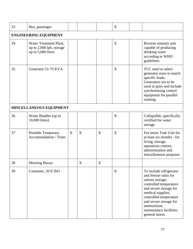| 33 | Bus, passenger                                                           |   |                  |             | X |  |                                                                                                                                                                                                                                                                |  |  |  |
|----|--------------------------------------------------------------------------|---|------------------|-------------|---|--|----------------------------------------------------------------------------------------------------------------------------------------------------------------------------------------------------------------------------------------------------------------|--|--|--|
|    | <b>ENGINEERING EQUIPMENT</b>                                             |   |                  |             |   |  |                                                                                                                                                                                                                                                                |  |  |  |
| 34 | Water Treatment Plant,<br>up to 2,000 lph, storage<br>up to 5,000 litres |   |                  |             | X |  | Reverse osmosis unit<br>capable of producing<br>drinking water<br>according to WHO<br>guidelines                                                                                                                                                               |  |  |  |
| 35 | Generator 51-75 KVA                                                      |   |                  |             | X |  | TCC need to select<br>generator sizes to match<br>specific loads.<br>Generators are to be<br>used in pairs and include<br>synchronising control<br>equipment for parallel<br>running.                                                                          |  |  |  |
|    | MISCELLANEOUS EQUIPMENT                                                  |   |                  |             |   |  |                                                                                                                                                                                                                                                                |  |  |  |
| 36 | Water Bladder (up to<br>10,000 litres)                                   |   |                  |             | X |  | Collapsible, specifically<br>certified for water<br>storage                                                                                                                                                                                                    |  |  |  |
| 37 | Portable Temporary<br><b>Accommodation / Tents</b>                       | X | X                | X           | X |  | For entire Task Unit for<br>at least six months - for<br>living, storage,<br>operations centres,<br>administration and<br>miscellaneous purposes                                                                                                               |  |  |  |
| 38 | <b>Mooring Buoys</b>                                                     |   | $\boldsymbol{X}$ | $\mathbf X$ |   |  |                                                                                                                                                                                                                                                                |  |  |  |
| 39 | Container, 20 ft ISO                                                     |   |                  |             | X |  | To include refrigerator<br>and freezer units for<br>rations storage;<br>controlled temperature<br>and secure storage for<br>medical supplies;<br>controlled temperature<br>and secure storage for<br>ammunition;<br>maintenance facilities;<br>general stores. |  |  |  |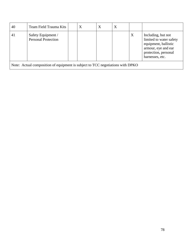| 40                                                                             | Team Field Trauma Kits                           |  | X | $\boldsymbol{X}$ | X |                  |                                                                                                                                         |
|--------------------------------------------------------------------------------|--------------------------------------------------|--|---|------------------|---|------------------|-----------------------------------------------------------------------------------------------------------------------------------------|
| 41                                                                             | Safety Equipment /<br><b>Personal Protection</b> |  |   |                  |   | $\boldsymbol{X}$ | Including, but not<br>limited to water safety<br>equipment, ballistic<br>armour, eye and ear<br>protection, personal<br>harnesses, etc. |
| Note: Actual composition of equipment is subject to TCC negotiations with DPKO |                                                  |  |   |                  |   |                  |                                                                                                                                         |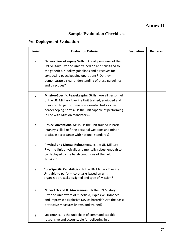# **Annex D**

## **Sample Evaluation Checklists**

## **Pre-Deployment Evaluation**

| <b>Serial</b> | <b>Evaluation Criteria</b>                                                                                                                                                                                                                                                                        | <b>Evaluation</b> | <b>Remarks</b> |
|---------------|---------------------------------------------------------------------------------------------------------------------------------------------------------------------------------------------------------------------------------------------------------------------------------------------------|-------------------|----------------|
| a             | Generic Peacekeeping Skills. Are all personnel of the<br>UN Military Riverine Unit trained on and sensitized to<br>the generic UN policy guidelines and directives for<br>conducting peacekeeping operations? Do they<br>demonstrate a clear understanding of these guidelines<br>and directives? |                   |                |
| b             | Mission-Specific Peacekeeping Skills. Are all personnel<br>of the UN Military Riverine Unit trained, equipped and<br>organized to perform mission essential tasks as per<br>peacekeeping norms? Is the unit capable of performing<br>in line with Mission mandate(s)?                             |                   |                |
| C             | Basic/Conventional Skills. Is the unit trained in basic<br>infantry skills like firing personal weapons and minor<br>tactics in accordance with national standards?                                                                                                                               |                   |                |
| d             | Physical and Mental Robustness. Is the UN Military<br>Riverine Unit physically and mentally robust enough to<br>be deployed to the harsh conditions of the field<br>Mission?                                                                                                                      |                   |                |
| e             | Core-Specific Capabilities. Is the UN Military Riverine<br>Unit able to perform core tasks based on unit<br>organization, tasks assigned and type of Mission?                                                                                                                                     |                   |                |
| e             | Mine- EO- and IED-Awareness. Is the UN Military<br>Riverine Unit aware of minefield, Explosive Ordnance<br>and Improvised Explosive Device hazards? Are the basic<br>protective measures known and trained?                                                                                       |                   |                |
| g             | Leadership. Is the unit chain of command capable,<br>responsive and accountable for delivering in a                                                                                                                                                                                               |                   |                |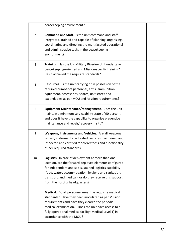|              | peacekeeping environment?                                                                                                                                                                                                                                                                                                    |  |
|--------------|------------------------------------------------------------------------------------------------------------------------------------------------------------------------------------------------------------------------------------------------------------------------------------------------------------------------------|--|
| h            | <b>Command and Staff.</b> Is the unit command and staff<br>integrated, trained and capable of planning, organizing,<br>coordinating and directing the multifaceted operational<br>and administrative tasks in the peacekeeping<br>environment?                                                                               |  |
| Ť            | Training. Has the UN Military Riverine Unit undertaken<br>peacekeeping-oriented and Mission-specific training?<br>Has it achieved the requisite standards?                                                                                                                                                                   |  |
| $\mathbf{I}$ | Resources. Is the unit carrying or in possession of the<br>required number of personnel, arms, ammunition,<br>equipment, accessories, spares, unit stores and<br>expendables as per MOU and Mission requirements?                                                                                                            |  |
| k            | Equipment Maintenance/Management. Does the unit<br>maintain a minimum serviceability state of 90 percent<br>and does it have the capability to organize preventive<br>maintenance and repair/recovery in situ?                                                                                                               |  |
|              | Weapons, Instruments and Vehicles. Are all weapons<br>zeroed, instruments calibrated, vehicles maintained and<br>inspected and certified for correctness and functionality<br>as per required standards.                                                                                                                     |  |
| m            | Logistics. In case of deployment at more than one<br>location, are the forward deployed elements configured<br>for independent and self-sustained logistics capability<br>(food, water, accommodation, hygiene and sanitation,<br>transport, and medical), or do they receive this support<br>from the hosting headquarters? |  |
| n            | Medical. Do all personnel meet the requisite medical<br>standards? Have they been inoculated as per Mission<br>requirements and have they cleared the periodic<br>medical examination? Does the unit have access to a<br>fully operational medical facility (Medical Level 1) in<br>accordance with the MOU?                 |  |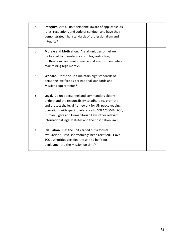| O | Integrity. Are all unit personnel aware of applicable UN<br>rules, regulations and code of conduct, and have they<br>demonstrated high standards of professionalism and<br>integrity?                                                                                                                                                |  |
|---|--------------------------------------------------------------------------------------------------------------------------------------------------------------------------------------------------------------------------------------------------------------------------------------------------------------------------------------|--|
| p | Morale and Motivation. Are all unit personnel well<br>motivated to operate in a complex, restrictive,<br>multinational and multidimensional environment while<br>maintaining high morale?                                                                                                                                            |  |
| q | Welfare. Does the unit maintain high standards of<br>personnel welfare as per national standards and<br>Mission requirements?                                                                                                                                                                                                        |  |
| r | Legal. Do unit personnel and commanders clearly<br>understand the responsibility to adhere to, promote<br>and protect the legal framework for UN peacekeeping<br>operations with specific reference to SOFA/SOMA, ROE,<br>Human Rights and Humanitarian Law, other relevant<br>international legal statutes and the host nation law? |  |
| S | <b>Evaluation.</b> Has the unit carried out a formal<br>evaluation? Have shortcomings been rectified? Have<br>TCC authorities certified the unit to be fit for<br>deployment to the Mission on time?                                                                                                                                 |  |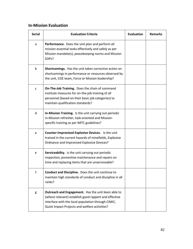#### **In-Mission Evaluation**

| <b>Serial</b> | <b>Evaluation Criteria</b>                                                                                                                                                                                         | <b>Evaluation</b> | <b>Remarks</b> |
|---------------|--------------------------------------------------------------------------------------------------------------------------------------------------------------------------------------------------------------------|-------------------|----------------|
| a             | Performance. Does the unit plan and perform all<br>mission essential tasks effectively and safely as per<br>Mission mandate(s), peacekeeping norms and Mission<br>SOP <sub>s</sub> ?                               |                   |                |
| $\mathbf b$   | Shortcomings. Has the unit taken corrective action on<br>shortcomings in performance or resources observed by<br>the unit, COE team, Force or Mission leadership?                                                  |                   |                |
| C             | On-The-Job Training. Does the chain of command<br>institute measures for on-the-job training of all<br>personnel (based on their basic job categories) to<br>maintain qualification standards?                     |                   |                |
| d             | In-Mission Training. Is the unit carrying out periodic<br>in-Mission refresher, task-oriented and Mission-<br>specific training as per IMTC guidelines?                                                            |                   |                |
| e             | <b>Counter-Improvised Explosive Devices.</b> Is the unit<br>trained in the current hazards of minefields, Explosive<br>Ordnance and Improvised Explosive Devices?                                                  |                   |                |
| e             | Serviceability. Is the unit carrying out periodic<br>inspection, preventive maintenance and repairs on<br>time and replacing items that are unserviceable?                                                         |                   |                |
| f             | Conduct and Discipline. Does the unit continue to<br>maintain high standards of conduct and discipline in all<br>ranks?                                                                                            |                   |                |
| g             | Outreach and Engagement. Has the unit been able to<br>(where relevant) establish good rapport and effective<br>interface with the local population through CIMIC,<br>Quick Impact Projects and welfare activities? |                   |                |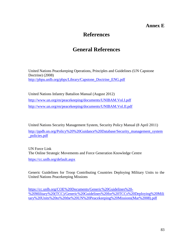## **Annex E**

## **References**

# **General References**

United Nations Peacekeeping Operations, Principles and Guidelines (UN Capstone Doctrine) (2008) [http://pbpu.unlb.org/pbps/Library/Capstone\\_Doctrine\\_ENG.pdf](http://pbpu.unlb.org/pbps/Library/Capstone_Doctrine_ENG.pdf)

United Nations Infantry Battalion Manual (August 2012) <http://www.un.org/en/peacekeeping/documents/UNIBAM.Vol.I.pdf> <http://www.un.org/en/peacekeeping/documents/UNIBAM.Vol.II.pdf>

United Nations Security Management System, Security Policy Manual (8 April 2011) [http://ppdb.un.org/Policy%20%20Guidance%20Database/Security\\_management\\_system](http://ppdb.un.org/Policy%20%20Guidance%20Database/Security_management_system_policies.pdf) [\\_policies.pdf](http://ppdb.un.org/Policy%20%20Guidance%20Database/Security_management_system_policies.pdf)

UN Force Link The Online Strategic Movements and Force Generation Knowledge Centre <https://cc.unlb.org/default.aspx>

Generic Guidelines for Troop Contributing Countries Deploying Military Units to the United Nations Peacekeeping Missions

[https://cc.unlb.org/COE%20Documents/Generic%20Guidelines%20-](https://cc.unlb.org/COE%20Documents/Generic%20Guidelines%20-%20Military%20(TCC)/Generic%20Guidelines%20for%20TCCs%20Deploying%20Military%20Units%20to%20the%20UN%20Peacekeeping%20Missions(Mar%2008).pdf) [%20Military%20\(TCC\)/Generic%20Guidelines%20for%20TCCs%20Deploying%20Mili](https://cc.unlb.org/COE%20Documents/Generic%20Guidelines%20-%20Military%20(TCC)/Generic%20Guidelines%20for%20TCCs%20Deploying%20Military%20Units%20to%20the%20UN%20Peacekeeping%20Missions(Mar%2008).pdf) [tary%20Units%20to%20the%20UN%20Peacekeeping%20Missions\(Mar%2008\).pdf](https://cc.unlb.org/COE%20Documents/Generic%20Guidelines%20-%20Military%20(TCC)/Generic%20Guidelines%20for%20TCCs%20Deploying%20Military%20Units%20to%20the%20UN%20Peacekeeping%20Missions(Mar%2008).pdf)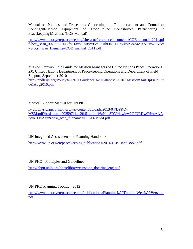Manual on Policies and Procedures Concerning the Reimbursement and Control of Contingent-Owned Equipment of Troop/Police Contributors Participating in Peacekeeping Missions (COE Manual)

[http://www.un.org/en/peacekeeping/sites/coe/referencedocuments/COE\\_manual\\_2011.pd](http://www.un.org/en/peacekeeping/sites/coe/referencedocuments/COE_manual_2011.pdf?bcsi_scan_00259711a12fb51a=sOZRyx95Yi5OihONCU1qZkoP3AqaAAAAvo2FNA==&bcsi_scan_filename=COE_manual_2011.pdf) [f?bcsi\\_scan\\_00259711a12fb51a=sOZRyx95Yi5OihONCU1qZkoP3AqaAAAAvo2FNA=](http://www.un.org/en/peacekeeping/sites/coe/referencedocuments/COE_manual_2011.pdf?bcsi_scan_00259711a12fb51a=sOZRyx95Yi5OihONCU1qZkoP3AqaAAAAvo2FNA==&bcsi_scan_filename=COE_manual_2011.pdf) [=&bcsi\\_scan\\_filename=COE\\_manual\\_2011.pdf](http://www.un.org/en/peacekeeping/sites/coe/referencedocuments/COE_manual_2011.pdf?bcsi_scan_00259711a12fb51a=sOZRyx95Yi5OihONCU1qZkoP3AqaAAAAvo2FNA==&bcsi_scan_filename=COE_manual_2011.pdf)

Mission Start-up Field Guide for Mission Managers of United Nations Peace Operations 2.0, United Nations Department of Peacekeeping Operations and Department of Field Support, September 2010

[http://ppdb.un.org/Policy%20%20Guidance%20Database/2010.1MissionStartUpFieldGui](http://ppdb.un.org/Policy%20%20Guidance%20Database/2010.1MissionStartUpFieldGuide1Aug2010.pdf) [de1Aug2010.pdf](http://ppdb.un.org/Policy%20%20Guidance%20Database/2010.1MissionStartUpFieldGuide1Aug2010.pdf)

Medical Support Manual for UN PKO

[http://physiciansforhaiti.org/wp-content/uploads/2013/04/DPKO-](http://physiciansforhaiti.org/wp-content/uploads/2013/04/DPKO-MSM.pdf?bcsi_scan_00259711a12fb51a=hmWzNdn8DV+iawiew2GfNRDw0H+aAAAAvo+FNA==&bcsi_scan_filename=DPKO-MSM.pdf)[MSM.pdf?bcsi\\_scan\\_00259711a12fb51a=hmWzNdn8DV+iawiew2GfNRDw0H+aAAA](http://physiciansforhaiti.org/wp-content/uploads/2013/04/DPKO-MSM.pdf?bcsi_scan_00259711a12fb51a=hmWzNdn8DV+iawiew2GfNRDw0H+aAAAAvo+FNA==&bcsi_scan_filename=DPKO-MSM.pdf) [Avo+FNA==&bcsi\\_scan\\_filename=DPKO-MSM.pdf](http://physiciansforhaiti.org/wp-content/uploads/2013/04/DPKO-MSM.pdf?bcsi_scan_00259711a12fb51a=hmWzNdn8DV+iawiew2GfNRDw0H+aAAAAvo+FNA==&bcsi_scan_filename=DPKO-MSM.pdf)

UN Integrated Assessment and Planning Handbook

<http://www.un.org/en/peacekeeping/publications/2014-IAP-HandBook.pdf>

UN PKO: Principles and Guidelines

[http://pbpu.unlb.org/pbps/library/capstone\\_doctrine\\_eng.pdf](http://pbpu.unlb.org/pbps/library/capstone_doctrine_eng.pdf)

UN PKO Planning Toolkit – 2012

[http://www.un.org/en/peacekeeping/publications/Planning%20Toolkit\\_Web%20Version.](http://www.un.org/en/peacekeeping/publications/Planning%20Toolkit_Web%20Version.pdf) [pdf](http://www.un.org/en/peacekeeping/publications/Planning%20Toolkit_Web%20Version.pdf)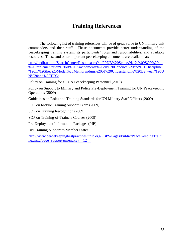# **Training References**

The following list of training references will be of great value to UN military unit commanders and their staff. These documents provide better understanding of the peacekeeping training system, its participants' roles and responsibilities, and available resources. These and other important peacekeeping documents are available at:

[http://ppdb.un.org/SearchCenter/Results.aspx?s=PPDB%20Scope&k=2.%09SOP%20on](http://ppdb.un.org/SearchCenter/Results.aspx?s=PPDB%20Scope&k=2.%09SOP%20on%20Implementation%20of%20Amendments%20on%20Conduct%20and%20Discipline%20in%20the%20Model%20Memorandum%20of%20Understanding%20Between%20UN%20and%20TCCs) [%20Implementation%20of%20Amendments%20on%20Conduct%20and%20Discipline](http://ppdb.un.org/SearchCenter/Results.aspx?s=PPDB%20Scope&k=2.%09SOP%20on%20Implementation%20of%20Amendments%20on%20Conduct%20and%20Discipline%20in%20the%20Model%20Memorandum%20of%20Understanding%20Between%20UN%20and%20TCCs) [%20in%20the%20Model%20Memorandum%20of%20Understanding%20Between%20U](http://ppdb.un.org/SearchCenter/Results.aspx?s=PPDB%20Scope&k=2.%09SOP%20on%20Implementation%20of%20Amendments%20on%20Conduct%20and%20Discipline%20in%20the%20Model%20Memorandum%20of%20Understanding%20Between%20UN%20and%20TCCs) [N%20and%20TCCs.](http://ppdb.un.org/SearchCenter/Results.aspx?s=PPDB%20Scope&k=2.%09SOP%20on%20Implementation%20of%20Amendments%20on%20Conduct%20and%20Discipline%20in%20the%20Model%20Memorandum%20of%20Understanding%20Between%20UN%20and%20TCCs)

Policy on Training for all UN Peacekeeping Personnel (2010)

Policy on Support to Military and Police Pre-Deployment Training for UN Peacekeeping Operations (2009)

Guidelines on Roles and Training Standards for UN Military Staff Officers (2009)

SOP on Mobile Training Support Team (2009)

SOP on Training Recognition (2009)

SOP on Training-of-Trainers Courses (2009)

Pre-Deployment Information Packages (PIP)

UN Training Support to Member States

[http://www.peacekeepingbestpractices.unlb.org/PBPS/Pages/Public/PeaceKeepingTraini](http://www.peacekeepingbestpractices.unlb.org/PBPS/Pages/Public/PeaceKeepingTraining.aspx?page=support&menukey=_12_4) [ng.aspx?page=support&menukey=\\_12\\_4](http://www.peacekeepingbestpractices.unlb.org/PBPS/Pages/Public/PeaceKeepingTraining.aspx?page=support&menukey=_12_4)